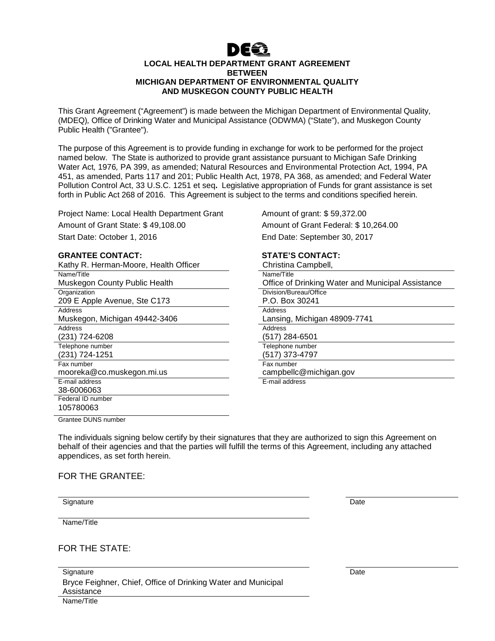

#### **LOCAL HEALTH DEPARTMENT GRANT AGREEMENT BETWEEN MICHIGAN DEPARTMENT OF ENVIRONMENTAL QUALITY AND MUSKEGON COUNTY PUBLIC HEALTH**

This Grant Agreement ("Agreement") is made between the Michigan Department of Environmental Quality, (MDEQ), Office of Drinking Water and Municipal Assistance (ODWMA) ("State"), and Muskegon County Public Health ("Grantee").

The purpose of this Agreement is to provide funding in exchange for work to be performed for the project named below.The State is authorized to provide grant assistance pursuant to Michigan Safe Drinking Water Act, 1976, PA 399, as amended; Natural Resources and Environmental Protection Act, 1994, PA 451, as amended, Parts 117 and 201; Public Health Act, 1978, PA 368, as amended; and Federal Water Pollution Control Act, 33 U.S.C. 1251 et seq**.** Legislative appropriation of Funds for grant assistance is set forth in Public Act 268 of 2016. This Agreement is subject to the terms and conditions specified herein.

Project Name: Local Health Department Grant Amount of grant: \$59,372.00

#### **GRANTEE CONTACT:** STATE'S CONTACT:

| Kathy R. Herman-Moore, Health Officer | Christina Campbell,    |
|---------------------------------------|------------------------|
| Name/Title                            | Name/Title             |
| Muskegon County Public Health         | Office of Drinking W   |
| Organization                          | Division/Bureau/Office |
| 209 E Apple Avenue, Ste C173          | P.O. Box 30241         |
| Address                               | Address                |
| Muskegon, Michigan 49442-3406         | Lansing, Michigan 4    |
| Address                               | Address                |
| (231) 724-6208                        | (517) 284-6501         |
| Telephone number                      | Telephone number       |
| (231) 724-1251                        | (517) 373-4797         |
| Fax number                            | Fax number             |
| mooreka@co.muskegon.mi.us             | campbellc@michiga      |
| E-mail address                        | E-mail address         |
| 38-6006063                            |                        |
| Federal ID number                     |                        |
| 105780063                             |                        |
| Cronton DUNC number                   |                        |

Amount of Grant State: \$ 49,108.00 Amount of Grant Federal: \$ 10,264.00 Start Date: October 1, 2016 End Date: September 30, 2017

| Christina Campbell,                               |
|---------------------------------------------------|
| Name/Title                                        |
| Office of Drinking Water and Municipal Assistance |
| Division/Bureau/Office                            |
| P.O. Box 30241                                    |
| Address                                           |
| Lansing, Michigan 48909-7741                      |
| Address                                           |
| (517) 284-6501                                    |
| Telephone number                                  |
| (517) 373-4797                                    |
| Fax number                                        |
| campbellc@michigan.gov                            |
| E-mail address                                    |
|                                                   |

Grantee DUNS number

The individuals signing below certify by their signatures that they are authorized to sign this Agreement on behalf of their agencies and that the parties will fulfill the terms of this Agreement, including any attached appendices, as set forth herein.

#### FOR THE GRANTEE:

Signature Date Date of the Date of the Date of the Date of the Date of the Date of the Date of the Date of the

Name/Title

FOR THE STATE:

**Signature** Bryce Feighner, Chief, Office of Drinking Water and Municipal Assistance Name/Title

**Date**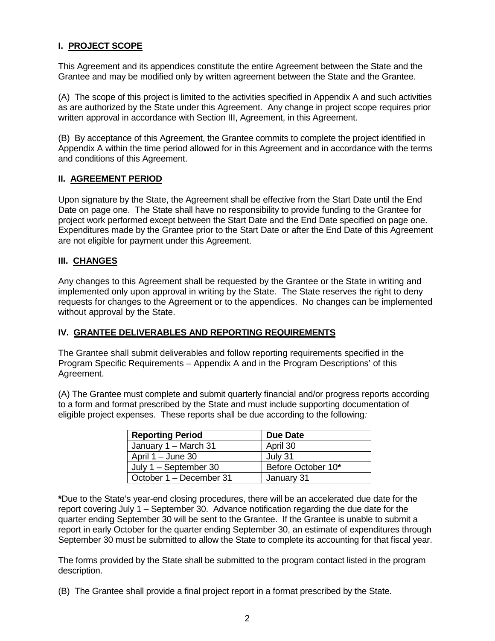# **I. PROJECT SCOPE**

This Agreement and its appendices constitute the entire Agreement between the State and the Grantee and may be modified only by written agreement between the State and the Grantee.

(A) The scope of this project is limited to the activities specified in Appendix A and such activities as are authorized by the State under this Agreement. Any change in project scope requires prior written approval in accordance with Section III, Agreement, in this Agreement.

(B) By acceptance of this Agreement, the Grantee commits to complete the project identified in Appendix A within the time period allowed for in this Agreement and in accordance with the terms and conditions of this Agreement.

#### **II. AGREEMENT PERIOD**

Upon signature by the State, the Agreement shall be effective from the Start Date until the End Date on page one. The State shall have no responsibility to provide funding to the Grantee for project work performed except between the Start Date and the End Date specified on page one. Expenditures made by the Grantee prior to the Start Date or after the End Date of this Agreement are not eligible for payment under this Agreement.

#### **III. CHANGES**

Any changes to this Agreement shall be requested by the Grantee or the State in writing and implemented only upon approval in writing by the State. The State reserves the right to deny requests for changes to the Agreement or to the appendices. No changes can be implemented without approval by the State.

#### **IV. GRANTEE DELIVERABLES AND REPORTING REQUIREMENTS**

The Grantee shall submit deliverables and follow reporting requirements specified in the Program Specific Requirements – Appendix A and in the Program Descriptions' of this Agreement.

(A) The Grantee must complete and submit quarterly financial and/or progress reports according to a form and format prescribed by the State and must include supporting documentation of eligible project expenses. These reports shall be due according to the following:

| <b>Reporting Period</b> | <b>Due Date</b>    |
|-------------------------|--------------------|
| January 1 - March 31    | April 30           |
| April $1 -$ June 30     | July 31            |
| July $1 -$ September 30 | Before October 10* |
| October 1 – December 31 | January 31         |

**\***Due to the State's year-end closing procedures, there will be an accelerated due date for the report covering July 1 – September 30. Advance notification regarding the due date for the quarter ending September 30 will be sent to the Grantee. If the Grantee is unable to submit a report in early October for the quarter ending September 30, an estimate of expenditures through September 30 must be submitted to allow the State to complete its accounting for that fiscal year.

The forms provided by the State shall be submitted to the program contact listed in the program description.

(B) The Grantee shall provide a final project report in a format prescribed by the State.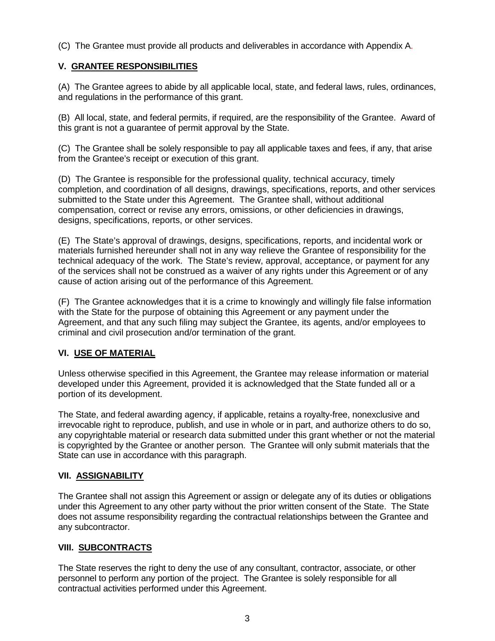(C) The Grantee must provide all products and deliverables in accordance with Appendix A.

# **V. GRANTEE RESPONSIBILITIES**

(A) The Grantee agrees to abide by all applicable local, state, and federal laws, rules, ordinances, and regulations in the performance of this grant.

(B) All local, state, and federal permits, if required, are the responsibility of the Grantee. Award of this grant is not a guarantee of permit approval by the State.

(C) The Grantee shall be solely responsible to pay all applicable taxes and fees, if any, that arise from the Grantee's receipt or execution of this grant.

(D) The Grantee is responsible for the professional quality, technical accuracy, timely completion, and coordination of all designs, drawings, specifications, reports, and other services submitted to the State under this Agreement. The Grantee shall, without additional compensation, correct or revise any errors, omissions, or other deficiencies in drawings, designs, specifications, reports, or other services.

(E) The State's approval of drawings, designs, specifications, reports, and incidental work or materials furnished hereunder shall not in any way relieve the Grantee of responsibility for the technical adequacy of the work. The State's review, approval, acceptance, or payment for any of the services shall not be construed as a waiver of any rights under this Agreement or of any cause of action arising out of the performance of this Agreement.

(F) The Grantee acknowledges that it is a crime to knowingly and willingly file false information with the State for the purpose of obtaining this Agreement or any payment under the Agreement, and that any such filing may subject the Grantee, its agents, and/or employees to criminal and civil prosecution and/or termination of the grant.

# **VI. USE OF MATERIAL**

Unless otherwise specified in this Agreement, the Grantee may release information or material developed under this Agreement, provided it is acknowledged that the State funded all or a portion of its development.

The State, and federal awarding agency, if applicable, retains a royalty-free, nonexclusive and irrevocable right to reproduce, publish, and use in whole or in part, and authorize others to do so, any copyrightable material or research data submitted under this grant whether or not the material is copyrighted by the Grantee or another person. The Grantee will only submit materials that the State can use in accordance with this paragraph.

# **VII. ASSIGNABILITY**

The Grantee shall not assign this Agreement or assign or delegate any of its duties or obligations under this Agreement to any other party without the prior written consent of the State. The State does not assume responsibility regarding the contractual relationships between the Grantee and any subcontractor.

# **VIII. SUBCONTRACTS**

The State reserves the right to deny the use of any consultant, contractor, associate, or other personnel to perform any portion of the project. The Grantee is solely responsible for all contractual activities performed under this Agreement.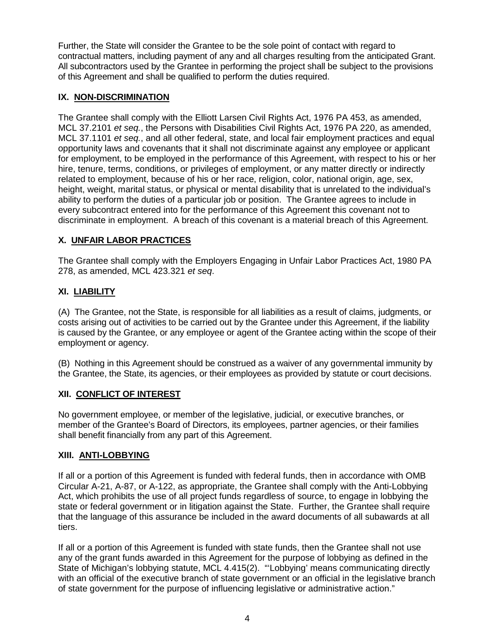Further, the State will consider the Grantee to be the sole point of contact with regard to contractual matters, including payment of any and all charges resulting from the anticipated Grant. All subcontractors used by the Grantee in performing the project shall be subject to the provisions of this Agreement and shall be qualified to perform the duties required.

# **IX. NON-DISCRIMINATION**

The Grantee shall comply with the Elliott Larsen Civil Rights Act, 1976 PA 453, as amended, MCL 37.2101 *et seq.*, the Persons with Disabilities Civil Rights Act, 1976 PA 220, as amended, MCL 37.1101 et seq., and all other federal, state, and local fair employment practices and equal opportunity laws and covenants that it shall not discriminate against any employee or applicant for employment, to be employed in the performance of this Agreement, with respect to his or her hire, tenure, terms, conditions, or privileges of employment, or any matter directly or indirectly related to employment, because of his or her race, religion, color, national origin, age, sex, height, weight, marital status, or physical or mental disability that is unrelated to the individual's ability to perform the duties of a particular job or position. The Grantee agrees to include in every subcontract entered into for the performance of this Agreement this covenant not to discriminate in employment. A breach of this covenant is a material breach of this Agreement.

# **X. UNFAIR LABOR PRACTICES**

The Grantee shall comply with the Employers Engaging in Unfair Labor Practices Act, 1980 PA 278, as amended, MCL 423.321 et seq.

# **XI. LIABILITY**

(A) The Grantee, not the State, is responsible for all liabilities as a result of claims, judgments, or costs arising out of activities to be carried out by the Grantee under this Agreement, if the liability is caused by the Grantee, or any employee or agent of the Grantee acting within the scope of their employment or agency.

(B) Nothing in this Agreement should be construed as a waiver of any governmental immunity by the Grantee, the State, its agencies, or their employees as provided by statute or court decisions.

# **XII. CONFLICT OF INTEREST**

No government employee, or member of the legislative, judicial, or executive branches, or member of the Grantee's Board of Directors, its employees, partner agencies, or their families shall benefit financially from any part of this Agreement.

# **XIII. ANTI-LOBBYING**

If all or a portion of this Agreement is funded with federal funds, then in accordance with OMB Circular A-21, A-87, or A-122, as appropriate, the Grantee shall comply with the Anti-Lobbying Act, which prohibits the use of all project funds regardless of source, to engage in lobbying the state or federal government or in litigation against the State. Further, the Grantee shall require that the language of this assurance be included in the award documents of all subawards at all tiers.

If all or a portion of this Agreement is funded with state funds, then the Grantee shall not use any of the grant funds awarded in this Agreement for the purpose of lobbying as defined in the State of Michigan's lobbying statute, MCL 4.415(2). "'Lobbying' means communicating directly with an official of the executive branch of state government or an official in the legislative branch of state government for the purpose of influencing legislative or administrative action."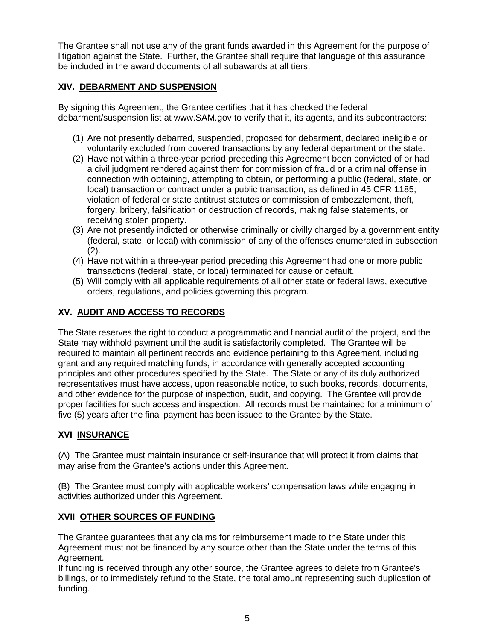The Grantee shall not use any of the grant funds awarded in this Agreement for the purpose of litigation against the State. Further, the Grantee shall require that language of this assurance be included in the award documents of all subawards at all tiers.

# **XIV. DEBARMENT AND SUSPENSION**

By signing this Agreement, the Grantee certifies that it has checked the federal debarment/suspension list at www.SAM.gov to verify that it, its agents, and its subcontractors:

- (1) Are not presently debarred, suspended, proposed for debarment, declared ineligible or voluntarily excluded from covered transactions by any federal department or the state.
- (2) Have not within a three-year period preceding this Agreement been convicted of or had a civil judgment rendered against them for commission of fraud or a criminal offense in connection with obtaining, attempting to obtain, or performing a public (federal, state, or local) transaction or contract under a public transaction, as defined in 45 CFR 1185; violation of federal or state antitrust statutes or commission of embezzlement, theft, forgery, bribery, falsification or destruction of records, making false statements, or receiving stolen property.
- (3) Are not presently indicted or otherwise criminally or civilly charged by a government entity (federal, state, or local) with commission of any of the offenses enumerated in subsection (2).
- (4) Have not within a three-year period preceding this Agreement had one or more public transactions (federal, state, or local) terminated for cause or default.
- (5) Will comply with all applicable requirements of all other state or federal laws, executive orders, regulations, and policies governing this program.

# **XV. AUDIT AND ACCESS TO RECORDS**

The State reserves the right to conduct a programmatic and financial audit of the project, and the State may withhold payment until the audit is satisfactorily completed. The Grantee will be required to maintain all pertinent records and evidence pertaining to this Agreement, including grant and any required matching funds, in accordance with generally accepted accounting principles and other procedures specified by the State. The State or any of its duly authorized representatives must have access, upon reasonable notice, to such books, records, documents, and other evidence for the purpose of inspection, audit, and copying. The Grantee will provide proper facilities for such access and inspection. All records must be maintained for a minimum of five (5) years after the final payment has been issued to the Grantee by the State.

# **XVI INSURANCE**

(A) The Grantee must maintain insurance or self-insurance that will protect it from claims that may arise from the Grantee's actions under this Agreement.

(B) The Grantee must comply with applicable workers' compensation laws while engaging in activities authorized under this Agreement.

# **XVII OTHER SOURCES OF FUNDING**

The Grantee guarantees that any claims for reimbursement made to the State under this Agreement must not be financed by any source other than the State under the terms of this Agreement.

If funding is received through any other source, the Grantee agrees to delete from Grantee's billings, or to immediately refund to the State, the total amount representing such duplication of funding.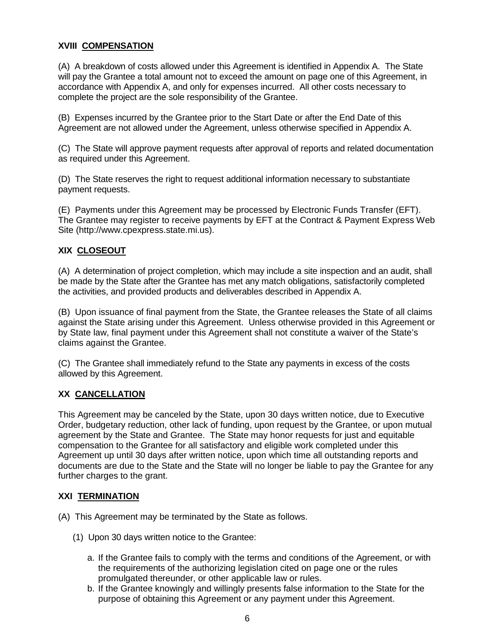# **XVIII COMPENSATION**

(A) A breakdown of costs allowed under this Agreement is identified in Appendix A. The State will pay the Grantee a total amount not to exceed the amount on page one of this Agreement, in accordance with Appendix A, and only for expenses incurred.All other costs necessary to complete the project are the sole responsibility of the Grantee.

(B) Expenses incurred by the Grantee prior to the Start Date or after the End Date of this Agreement are not allowed under the Agreement, unless otherwise specified in Appendix A.

(C) The State will approve payment requests after approval of reports and related documentation as required under this Agreement.

(D) The State reserves the right to request additional information necessary to substantiate payment requests.

(E) Payments under this Agreement may be processed by Electronic Funds Transfer (EFT). The Grantee may register to receive payments by EFT at the Contract & Payment Express Web Site (http://www.cpexpress.state.mi.us).

#### **XIX CLOSEOUT**

(A) A determination of project completion, which may include a site inspection and an audit, shall be made by the State after the Grantee has met any match obligations, satisfactorily completed the activities, and provided products and deliverables described in Appendix A.

(B) Upon issuance of final payment from the State, the Grantee releases the State of all claims against the State arising under this Agreement. Unless otherwise provided in this Agreement or by State law, final payment under this Agreement shall not constitute a waiver of the State's claims against the Grantee.

(C) The Grantee shall immediately refund to the State any payments in excess of the costs allowed by this Agreement.

# **XX CANCELLATION**

This Agreement may be canceled by the State, upon 30 days written notice, due to Executive Order, budgetary reduction, other lack of funding, upon request by the Grantee, or upon mutual agreement by the State and Grantee. The State may honor requests for just and equitable compensation to the Grantee for all satisfactory and eligible work completed under this Agreement up until 30 days after written notice, upon which time all outstanding reports and documents are due to the State and the State will no longer be liable to pay the Grantee for any further charges to the grant.

# **XXI TERMINATION**

- (A) This Agreement may be terminated by the State as follows.
	- (1) Upon 30 days written notice to the Grantee:
		- a. If the Grantee fails to comply with the terms and conditions of the Agreement, or with the requirements of the authorizing legislation cited on page one or the rules promulgated thereunder, or other applicable law or rules.
		- b. If the Grantee knowingly and willingly presents false information to the State for the purpose of obtaining this Agreement or any payment under this Agreement.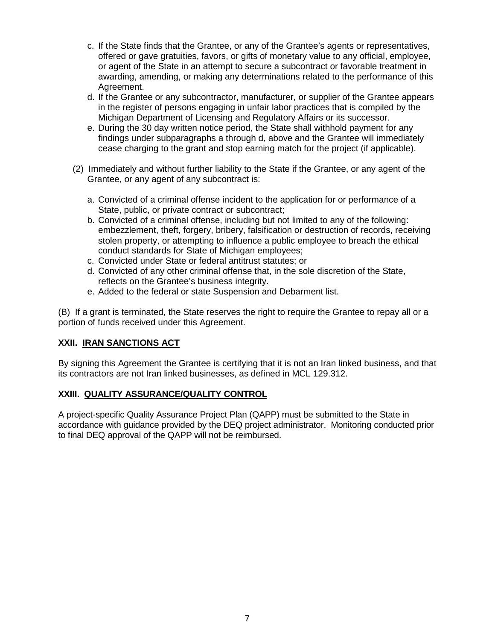- c. If the State finds that the Grantee, or any of the Grantee's agents or representatives, offered or gave gratuities, favors, or gifts of monetary value to any official, employee, or agent of the State in an attempt to secure a subcontract or favorable treatment in awarding, amending, or making any determinations related to the performance of this Agreement.
- d. If the Grantee or any subcontractor, manufacturer, or supplier of the Grantee appears in the register of persons engaging in unfair labor practices that is compiled by the Michigan Department of Licensing and Regulatory Affairs or its successor.
- e. During the 30 day written notice period, the State shall withhold payment for any findings under subparagraphs a through d, above and the Grantee will immediately cease charging to the grant and stop earning match for the project (if applicable).
- (2) Immediately and without further liability to the State if the Grantee, or any agent of the Grantee, or any agent of any subcontract is:
	- a. Convicted of a criminal offense incident to the application for or performance of a State, public, or private contract or subcontract;
	- b. Convicted of a criminal offense, including but not limited to any of the following: embezzlement, theft, forgery, bribery, falsification or destruction of records, receiving stolen property, or attempting to influence a public employee to breach the ethical conduct standards for State of Michigan employees;
	- c. Convicted under State or federal antitrust statutes; or
	- d. Convicted of any other criminal offense that, in the sole discretion of the State, reflects on the Grantee's business integrity.
	- e. Added to the federal or state Suspension and Debarment list.

(B) If a grant is terminated, the State reserves the right to require the Grantee to repay all or a portion of funds received under this Agreement.

# **XXII. IRAN SANCTIONS ACT**

By signing this Agreement the Grantee is certifying that it is not an Iran linked business, and that its contractors are not Iran linked businesses, as defined in MCL 129.312.

# **XXIII. QUALITY ASSURANCE/QUALITY CONTROL**

A project-specific Quality Assurance Project Plan (QAPP) must be submitted to the State in accordance with guidance provided by the DEQ project administrator. Monitoring conducted prior to final DEQ approval of the QAPP will not be reimbursed.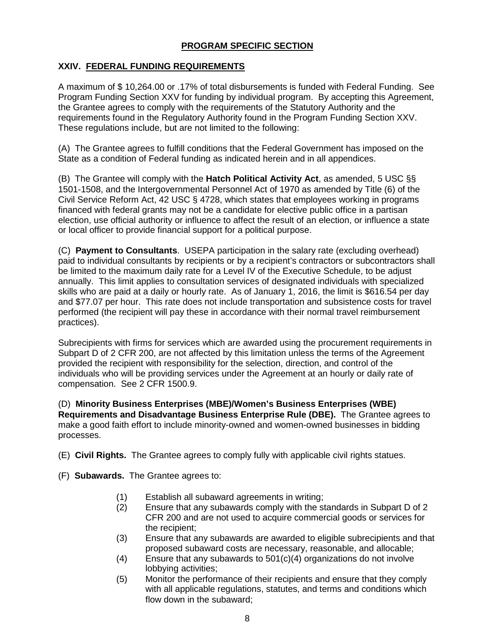# **PROGRAM SPECIFIC SECTION**

# **XXIV. FEDERAL FUNDING REQUIREMENTS**

A maximum of \$ 10,264.00 or .17% of total disbursements is funded with Federal Funding. See Program Funding Section XXV for funding by individual program. By accepting this Agreement, the Grantee agrees to comply with the requirements of the Statutory Authority and the requirements found in the Regulatory Authority found in the Program Funding Section XXV. These regulations include, but are not limited to the following:

(A) The Grantee agrees to fulfill conditions that the Federal Government has imposed on the State as a condition of Federal funding as indicated herein and in all appendices.

(B) The Grantee will comply with the **Hatch Political Activity Act**, as amended, 5 USC §§ 1501-1508, and the Intergovernmental Personnel Act of 1970 as amended by Title (6) of the Civil Service Reform Act, 42 USC § 4728, which states that employees working in programs financed with federal grants may not be a candidate for elective public office in a partisan election, use official authority or influence to affect the result of an election, or influence a state or local officer to provide financial support for a political purpose.

(C) **Payment to Consultants**. USEPA participation in the salary rate (excluding overhead) paid to individual consultants by recipients or by a recipient's contractors or subcontractors shall be limited to the maximum daily rate for a Level IV of the Executive Schedule, to be adjust annually. This limit applies to consultation services of designated individuals with specialized skills who are paid at a daily or hourly rate. As of January 1, 2016, the limit is \$616.54 per day and \$77.07 per hour. This rate does not include transportation and subsistence costs for travel performed (the recipient will pay these in accordance with their normal travel reimbursement practices).

Subrecipients with firms for services which are awarded using the procurement requirements in Subpart D of 2 CFR 200, are not affected by this limitation unless the terms of the Agreement provided the recipient with responsibility for the selection, direction, and control of the individuals who will be providing services under the Agreement at an hourly or daily rate of compensation. See 2 CFR 1500.9.

(D) **Minority Business Enterprises (MBE)/Women's Business Enterprises (WBE) Requirements and Disadvantage Business Enterprise Rule (DBE).** The Grantee agrees to make a good faith effort to include minority-owned and women-owned businesses in bidding processes.

- (E) **Civil Rights.** The Grantee agrees to comply fully with applicable civil rights statues.
- (F) **Subawards.** The Grantee agrees to:
	- (1) Establish all subaward agreements in writing;
	- (2) Ensure that any subawards comply with the standards in Subpart D of 2 CFR 200 and are not used to acquire commercial goods or services for the recipient;
	- (3) Ensure that any subawards are awarded to eligible subrecipients and that proposed subaward costs are necessary, reasonable, and allocable;
	- (4) Ensure that any subawards to 501(c)(4) organizations do not involve lobbying activities;
	- (5) Monitor the performance of their recipients and ensure that they comply with all applicable regulations, statutes, and terms and conditions which flow down in the subaward;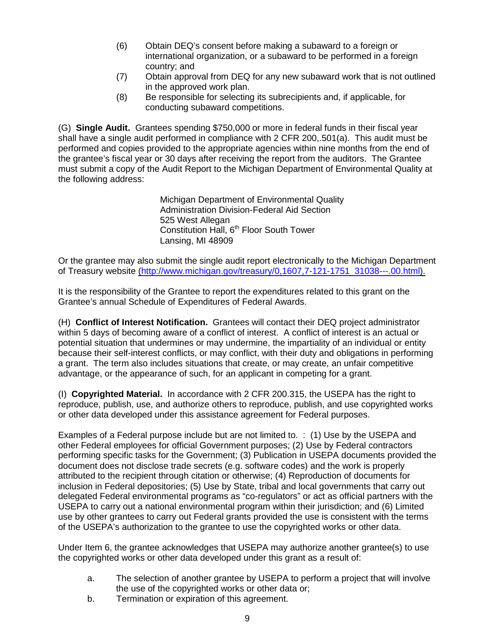- (6) Obtain DEQ's consent before making a subaward to a foreign or international organization, or a subaward to be performed in a foreign country; and
- (7) Obtain approval from DEQ for any new subaward work that is not outlined in the approved work plan.
- (8) Be responsible for selecting its subrecipients and, if applicable, for conducting subaward competitions.

(G) **Single Audit.** Grantees spending \$750,000 or more in federal funds in their fiscal year shall have a single audit performed in compliance with 2 CFR 200,.501(a). This audit must be performed and copies provided to the appropriate agencies within nine months from the end of the grantee's fiscal year or 30 days after receiving the report from the auditors. The Grantee must submit a copy of the Audit Report to the Michigan Department of Environmental Quality at the following address:

> Michigan Department of Environmental Quality Administration Division-Federal Aid Section 525 West Allegan Constitution Hall, 6<sup>th</sup> Floor South Tower Lansing, MI 48909

Or the grantee may also submit the single audit report electronically to the Michigan Department of Treasury website (http://www.michigan.gov/treasury/0,1607,7-121-1751\_31038---.00.html).

It is the responsibility of the Grantee to report the expenditures related to this grant on the Grantee's annual Schedule of Expenditures of Federal Awards.

(H) **Conflict of Interest Notification.** Grantees will contact their DEQ project administrator within 5 days of becoming aware of a conflict of interest. A conflict of interest is an actual or potential situation that undermines or may undermine, the impartiality of an individual or entity because their self-interest conflicts, or may conflict, with their duty and obligations in performing a grant. The term also includes situations that create, or may create, an unfair competitive advantage, or the appearance of such, for an applicant in competing for a grant.

(I) **Copyrighted Material.** In accordance with 2 CFR 200.315, the USEPA has the right to reproduce, publish, use, and authorize others to reproduce, publish, and use copyrighted works or other data developed under this assistance agreement for Federal purposes.

Examples of a Federal purpose include but are not limited to. : (1) Use by the USEPA and other Federal employees for official Government purposes; (2) Use by Federal contractors performing specific tasks for the Government; (3) Publication in USEPA documents provided the document does not disclose trade secrets (e.g. software codes) and the work is properly attributed to the recipient through citation or otherwise; (4) Reproduction of documents for inclusion in Federal depositories; (5) Use by State, tribal and local governments that carry out delegated Federal environmental programs as "co-regulators" or act as official partners with the USEPA to carry out a national environmental program within their jurisdiction; and (6) Limited use by other grantees to carry out Federal grants provided the use is consistent with the terms of the USEPA's authorization to the grantee to use the copyrighted works or other data.

Under Item 6, the grantee acknowledges that USEPA may authorize another grantee(s) to use the copyrighted works or other data developed under this grant as a result of:

- a. The selection of another grantee by USEPA to perform a project that will involve the use of the copyrighted works or other data or;
- b. Termination or expiration of this agreement.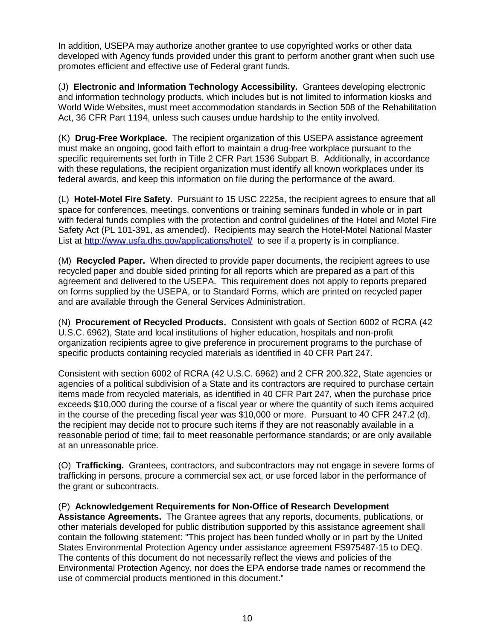In addition, USEPA may authorize another grantee to use copyrighted works or other data developed with Agency funds provided under this grant to perform another grant when such use promotes efficient and effective use of Federal grant funds.

(J) **Electronic and Information Technology Accessibility.** Grantees developing electronic and information technology products, which includes but is not limited to information kiosks and World Wide Websites, must meet accommodation standards in Section 508 of the Rehabilitation Act, 36 CFR Part 1194, unless such causes undue hardship to the entity involved.

(K) **Drug-Free Workplace.** The recipient organization of this USEPA assistance agreement must make an ongoing, good faith effort to maintain a drug-free workplace pursuant to the specific requirements set forth in Title 2 CFR Part 1536 Subpart B. Additionally, in accordance with these regulations, the recipient organization must identify all known workplaces under its federal awards, and keep this information on file during the performance of the award.

(L) **Hotel-Motel Fire Safety.** Pursuant to 15 USC 2225a, the recipient agrees to ensure that all space for conferences, meetings, conventions or training seminars funded in whole or in part with federal funds complies with the protection and control guidelines of the Hotel and Motel Fire Safety Act (PL 101-391, as amended). Recipients may search the Hotel-Motel National Master List at http://www.usfa.dhs.gov/applications/hotel/ to see if a property is in compliance.

(M) **Recycled Paper.** When directed to provide paper documents, the recipient agrees to use recycled paper and double sided printing for all reports which are prepared as a part of this agreement and delivered to the USEPA. This requirement does not apply to reports prepared on forms supplied by the USEPA, or to Standard Forms, which are printed on recycled paper and are available through the General Services Administration.

(N) **Procurement of Recycled Products.** Consistent with goals of Section 6002 of RCRA (42 U.S.C. 6962), State and local institutions of higher education, hospitals and non-profit organization recipients agree to give preference in procurement programs to the purchase of specific products containing recycled materials as identified in 40 CFR Part 247.

Consistent with section 6002 of RCRA (42 U.S.C. 6962) and 2 CFR 200.322, State agencies or agencies of a political subdivision of a State and its contractors are required to purchase certain items made from recycled materials, as identified in 40 CFR Part 247, when the purchase price exceeds \$10,000 during the course of a fiscal year or where the quantity of such items acquired in the course of the preceding fiscal year was \$10,000 or more. Pursuant to 40 CFR 247.2 (d), the recipient may decide not to procure such items if they are not reasonably available in a reasonable period of time; fail to meet reasonable performance standards; or are only available at an unreasonable price.

(O) **Trafficking.** Grantees, contractors, and subcontractors may not engage in severe forms of trafficking in persons, procure a commercial sex act, or use forced labor in the performance of the grant or subcontracts.

# (P) **Acknowledgement Requirements for Non-Office of Research Development**

**Assistance Agreements.** The Grantee agrees that any reports, documents, publications, or other materials developed for public distribution supported by this assistance agreement shall contain the following statement: "This project has been funded wholly or in part by the United States Environmental Protection Agency under assistance agreement FS975487-15 to DEQ. The contents of this document do not necessarily reflect the views and policies of the Environmental Protection Agency, nor does the EPA endorse trade names or recommend the use of commercial products mentioned in this document."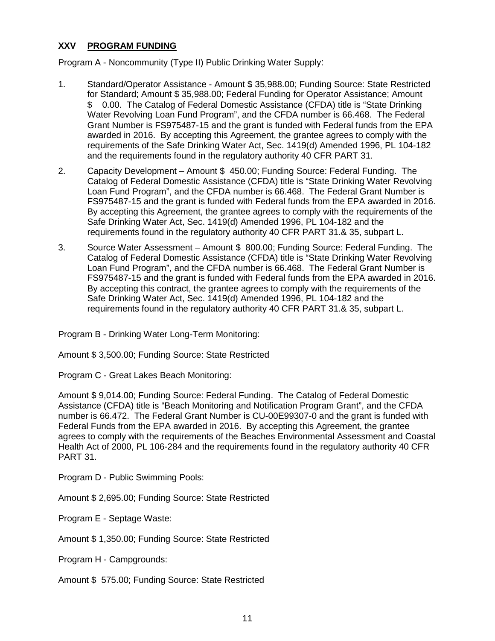#### **XXV PROGRAM FUNDING**

Program A - Noncommunity (Type II) Public Drinking Water Supply:

- 1. Standard/Operator Assistance Amount \$ 35,988.00; Funding Source: State Restricted for Standard; Amount \$ 35,988.00; Federal Funding for Operator Assistance; Amount \$ 0.00. The Catalog of Federal Domestic Assistance (CFDA) title is "State Drinking Water Revolving Loan Fund Program", and the CFDA number is 66.468. The Federal Grant Number is FS975487-15 and the grant is funded with Federal funds from the EPA awarded in 2016. By accepting this Agreement, the grantee agrees to comply with the requirements of the Safe Drinking Water Act, Sec. 1419(d) Amended 1996, PL 104-182 and the requirements found in the regulatory authority 40 CFR PART 31.
- 2. Capacity Development Amount \$ 450.00; Funding Source: Federal Funding. The Catalog of Federal Domestic Assistance (CFDA) title is "State Drinking Water Revolving Loan Fund Program", and the CFDA number is 66.468. The Federal Grant Number is FS975487-15 and the grant is funded with Federal funds from the EPA awarded in 2016. By accepting this Agreement, the grantee agrees to comply with the requirements of the Safe Drinking Water Act, Sec. 1419(d) Amended 1996, PL 104-182 and the requirements found in the regulatory authority 40 CFR PART 31.& 35, subpart L.
- 3. Source Water Assessment Amount \$ 800.00; Funding Source: Federal Funding. The Catalog of Federal Domestic Assistance (CFDA) title is "State Drinking Water Revolving Loan Fund Program", and the CFDA number is 66.468. The Federal Grant Number is FS975487-15 and the grant is funded with Federal funds from the EPA awarded in 2016. By accepting this contract, the grantee agrees to comply with the requirements of the Safe Drinking Water Act, Sec. 1419(d) Amended 1996, PL 104-182 and the requirements found in the regulatory authority 40 CFR PART 31.& 35, subpart L.

Program B - Drinking Water Long-Term Monitoring:

Amount \$ 3,500.00; Funding Source: State Restricted

Program C - Great Lakes Beach Monitoring:

Amount \$ 9,014.00; Funding Source: Federal Funding. The Catalog of Federal Domestic Assistance (CFDA) title is "Beach Monitoring and Notification Program Grant", and the CFDA number is 66.472. The Federal Grant Number is CU-00E99307-0 and the grant is funded with Federal Funds from the EPA awarded in 2016. By accepting this Agreement, the grantee agrees to comply with the requirements of the Beaches Environmental Assessment and Coastal Health Act of 2000, PL 106-284 and the requirements found in the regulatory authority 40 CFR PART 31.

Program D - Public Swimming Pools:

Amount \$ 2,695.00; Funding Source: State Restricted

Program E - Septage Waste:

Amount \$ 1,350.00; Funding Source: State Restricted

Program H - Campgrounds:

Amount \$ 575.00; Funding Source: State Restricted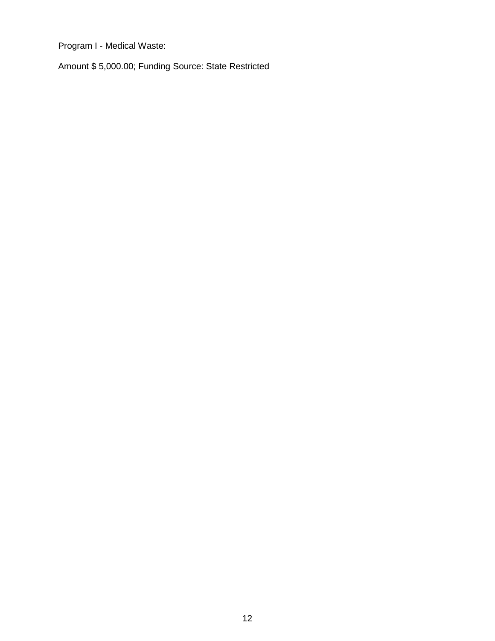Program I - Medical Waste:

Amount \$ 5,000.00; Funding Source: State Restricted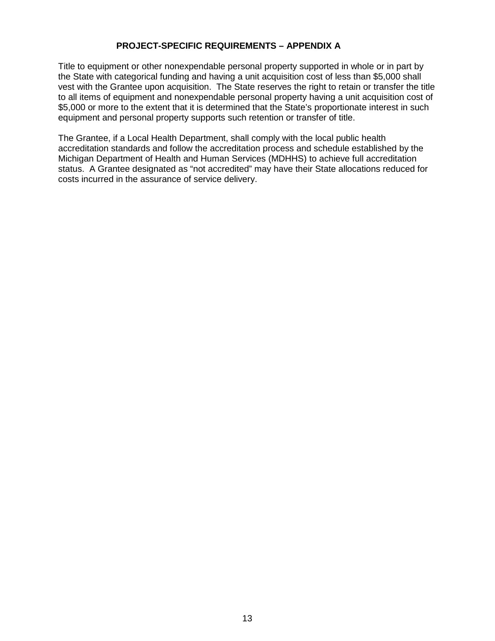# **PROJECT-SPECIFIC REQUIREMENTS – APPENDIX A**

Title to equipment or other nonexpendable personal property supported in whole or in part by the State with categorical funding and having a unit acquisition cost of less than \$5,000 shall vest with the Grantee upon acquisition. The State reserves the right to retain or transfer the title to all items of equipment and nonexpendable personal property having a unit acquisition cost of \$5,000 or more to the extent that it is determined that the State's proportionate interest in such equipment and personal property supports such retention or transfer of title.

The Grantee, if a Local Health Department, shall comply with the local public health accreditation standards and follow the accreditation process and schedule established by the Michigan Department of Health and Human Services (MDHHS) to achieve full accreditation status. A Grantee designated as "not accredited" may have their State allocations reduced for costs incurred in the assurance of service delivery.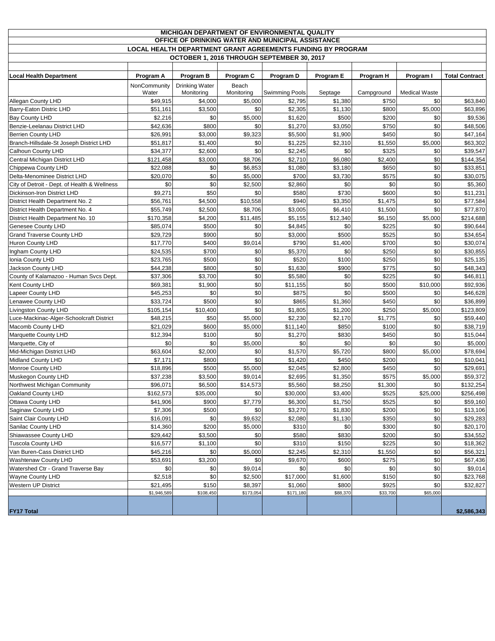| <b>MICHIGAN DEPARTMENT OF ENVIRONMENTAL QUALITY</b>                |              |                       |            |                                            |           |            |                      |                       |
|--------------------------------------------------------------------|--------------|-----------------------|------------|--------------------------------------------|-----------|------------|----------------------|-----------------------|
| OFFICE OF DRINKING WATER AND MUNICIPAL ASSISTANCE                  |              |                       |            |                                            |           |            |                      |                       |
| <b>LOCAL HEALTH DEPARTMENT GRANT AGREEMENTS FUNDING BY PROGRAM</b> |              |                       |            |                                            |           |            |                      |                       |
|                                                                    |              |                       |            | OCTOBER 1, 2016 THROUGH SEPTEMBER 30, 2017 |           |            |                      |                       |
|                                                                    |              |                       |            |                                            |           |            |                      |                       |
| <b>Local Health Department</b>                                     | Program A    | Program B             | Program C  | Program D                                  | Program E | Program H  | Program I            | <b>Total Contract</b> |
|                                                                    | NonCommunity | <b>Drinking Water</b> | Beach      |                                            |           |            |                      |                       |
|                                                                    | Water        | Monitoring            | Monitoring | Swimming Pools                             | Septage   | Campground | <b>Medical Waste</b> |                       |
| Allegan County LHD                                                 | \$49,915     | \$4,000               | \$5,000    | \$2,795                                    | \$1,380   | \$750      | \$0                  | \$63,840              |
| Barry-Eaton Distric LHD                                            | \$51,161     | \$3,500               | \$0        | \$2,305                                    | \$1,130   | \$800      | \$5,000              | \$63,896              |
| <b>Bay County LHD</b>                                              | \$2,216      | \$0                   | \$5,000    | \$1,620                                    | \$500     | \$200      | \$0                  | \$9,536               |
| Benzie-Leelanau District LHD                                       | \$42,636     | \$800                 | \$0        | \$1,270                                    | \$3,050   | \$750      | \$0                  | \$48,506              |
| <b>Berrien County LHD</b>                                          | \$26,991     | \$3,000               | \$9,323    | \$5,500                                    | \$1,900   | \$450      | \$0                  | \$47,164              |
| Branch-Hillsdale-St Joseph District LHD                            | \$51,817     | \$1,400               | \$0        | \$1,225                                    | \$2,310   | \$1,550    | \$5,000              | \$63,302              |
| Calhoun County LHD                                                 | \$34,377     | \$2,600               | \$0        | \$2,245                                    | \$0       | \$325      | \$0                  | \$39,547              |
| Central Michigan District LHD                                      | \$121,458    | \$3,000               | \$8,706    | \$2,710                                    | \$6,080   | \$2,400    | \$0                  | \$144,354             |
| Chippewa County LHD                                                | \$22,088     | \$0                   | \$6,853    | \$1,080                                    | \$3,180   | \$650      | \$0                  | \$33,851              |
| Delta-Menominee District LHD                                       | \$20,070     | \$0                   | \$5,000    | \$700                                      | \$3,730   | \$575      | \$0                  | \$30,075              |
| City of Detroit - Dept. of Health & Wellness                       | \$0          | \$0                   | \$2,500    | \$2,860                                    | \$0       | \$0        | \$0                  | \$5,360               |
| Dickinson-Iron District LHD                                        | \$9,271      | \$50                  | \$0        | \$580                                      | \$730     | \$600      | \$0                  | \$11,231              |
| District Health Department No. 2                                   | \$56,761     | \$4,500               | \$10,558   | \$940                                      | \$3,350   | \$1,475    | \$0                  | \$77,584              |
| District Health Department No. 4                                   | \$55,749     | \$2,500               | \$8,706    | \$3,005                                    | \$6,410   | \$1,500    | \$0                  | \$77,870              |
| District Health Department No. 10                                  | \$170,358    | \$4,200               | \$11,485   | \$5,155                                    | \$12,340  | \$6,150    | \$5,000              | \$214,688             |
| Genesee County LHD                                                 | \$85,074     | \$500                 | \$0        | \$4,845                                    | \$0       | \$225      | \$0                  | \$90,644              |
| <b>Grand Traverse County LHD</b>                                   | \$29.729     | \$900                 | \$0        | \$3,000                                    | \$500     | \$525      | \$0                  | \$34,654              |
| <b>Huron County LHD</b>                                            | \$17,770     | \$400                 | \$9,014    | \$790                                      | \$1,400   | \$700      | \$0                  | \$30,074              |
| Ingham County LHD                                                  | \$24,535     | \$700                 | \$0        | \$5,370                                    | \$0       | \$250      | \$0                  | \$30,855              |
| Ionia County LHD                                                   | \$23,765     | \$500                 | \$0        | \$520                                      | \$100     | \$250      | \$0                  | \$25,135              |
| Jackson County LHD                                                 | \$44,238     | \$800                 | \$0        | \$1,630                                    | \$900     | \$775      | \$0                  | \$48,343              |
| County of Kalamazoo - Human Svcs Dept.                             | \$37,306     | \$3,700               | \$0        | \$5,580                                    | \$0       | \$225      | \$0                  | \$46,811              |
| Kent County LHD                                                    | \$69,381     | \$1,900               | \$0        | \$11,155                                   | \$0       | \$500      | \$10,000             | \$92,936              |
| Lapeer County LHD                                                  | \$45,253     | \$0                   | \$0        | \$875                                      | \$0       | \$500      | \$0                  | \$46,628              |
| Lenawee County LHD                                                 | \$33,724     | \$500                 | \$0        | \$865                                      | \$1,360   | \$450      | \$0                  | \$36,899              |
| Livingston County LHD                                              | \$105,154    | \$10,400              | \$0        | \$1,805                                    | \$1,200   | \$250      | \$5,000              | \$123,809             |
| Luce-Mackinac-Alger-Schoolcraft District                           | \$48,215     | \$50                  | \$5,000    | \$2,230                                    | \$2,170   | \$1,775    | \$0                  | \$59,440              |
| Macomb County LHD                                                  | \$21,029     | \$600                 | \$5,000    | \$11,140                                   | \$850     | \$100      | \$0                  | \$38,719              |
| Marquette County LHD                                               | \$12,394     | \$100                 | \$0        | \$1,270                                    | \$830     | \$450      | \$0                  | \$15,044              |
| Marquette, City of                                                 | \$0          | \$0                   | \$5,000    | \$0                                        | \$0       | \$0        | \$0                  | \$5,000               |
| Mid-Michigan District LHD                                          | \$63,604     | \$2,000               | \$0        | \$1,570                                    | \$5,720   | \$800      | \$5,000              | \$78,694              |
| <b>Midland County LHD</b>                                          | \$7,171      | \$800                 | \$0        | \$1,420                                    | \$450     | \$200      | \$0                  | \$10,041              |
| Monroe County LHD                                                  | \$18,896     | \$500                 | \$5,000    | \$2,045                                    | \$2,800   | \$450      | \$0                  | \$29,691              |
| Muskegon County LHD                                                | \$37,238     | \$3,500               | \$9,014    | \$2,695                                    | \$1,350   | \$575      | \$5,000              | \$59,372              |
| Northwest Michigan Community                                       | \$96,071     | \$6,500               | \$14,573   | \$5,560                                    | \$8,250   | \$1,300    | \$0                  | \$132,254             |
| Oakland County LHD                                                 | \$162,573    | \$35,000              | \$0        | \$30,000                                   | \$3,400   | \$525      | \$25,000             | \$256,498             |
| Ottawa County LHD                                                  | \$41,906     | \$900                 | \$7,779    | \$6,300                                    | \$1,750   | \$525      | \$0                  | \$59,160              |
| Saginaw County LHD                                                 | \$7,306      | \$500                 | \$0        | \$3,270                                    | \$1,830   | \$200      | \$0                  | \$13,106              |
| Saint Clair County LHD                                             | \$16,091     | \$0                   | \$9,632    | \$2,080                                    | \$1,130   | \$350      | \$0                  | \$29,283              |
| Sanilac County LHD                                                 | \$14,360     | \$200                 | \$5,000    | \$310                                      | \$0       | \$300      | \$0                  | \$20,170              |
| Shiawassee County LHD                                              | \$29,442     | \$3,500               | \$0        | \$580                                      | \$830     | \$200      | \$0                  | \$34,552              |
| <b>Tuscola County LHD</b>                                          | \$16,577     | \$1,100               | \$0        | \$310                                      | \$150     | \$225      | \$0                  | \$18,362              |
| Van Buren-Cass District LHD                                        | \$45,216     | \$0                   | \$5,000    | \$2,245                                    | \$2,310   | \$1,550    | \$0                  | \$56,321              |
| Washtenaw County LHD                                               | \$53,691     | \$3,200               | \$0        | \$9,670                                    | \$600     | \$275      | \$0                  | \$67,436              |
| Watershed Ctr - Grand Traverse Bay                                 | \$0          | \$0                   | \$9,014    | \$0                                        | \$0       | \$0        | \$0                  | \$9,014               |
| Wayne County LHD                                                   | \$2,518      | \$0                   | \$2,500    | \$17,000                                   | \$1,600   | \$150      | \$0                  | \$23,768              |
| Western UP District                                                | \$21,495     | \$150                 | \$8,397    | \$1,060                                    | \$800     | \$925      | \$0                  | \$32,827              |
|                                                                    | \$1,946,589  | \$108,450             | \$173,054  | \$171,180                                  | \$88,370  | \$33,700   | \$65,000             |                       |
|                                                                    |              |                       |            |                                            |           |            |                      |                       |
| <b>FY17 Total</b>                                                  |              |                       |            |                                            |           |            |                      | \$2,586,343           |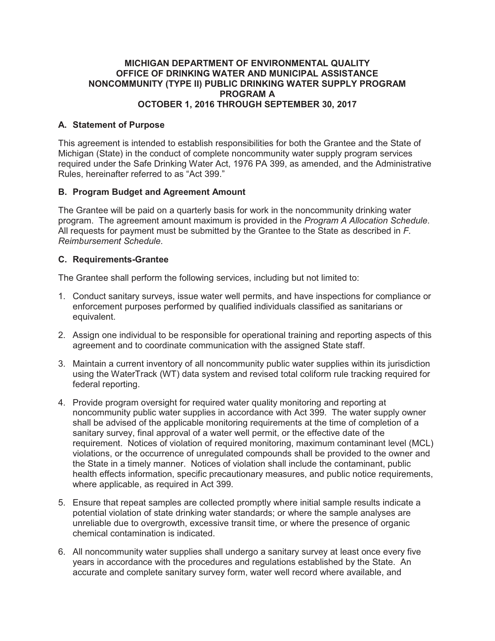# **MICHIGAN DEPARTMENT OF ENVIRONMENTAL QUALITY OFFICE OF DRINKING WATER AND MUNICIPAL ASSISTANCE NONCOMMUNITY (TYPE II) PUBLIC DRINKING WATER SUPPLY PROGRAM PROGRAM A OCTOBER 1, 2016 THROUGH SEPTEMBER 30, 2017**

# **A. Statement of Purpose**

This agreement is intended to establish responsibilities for both the Grantee and the State of Michigan (State) in the conduct of complete noncommunity water supply program services required under the Safe Drinking Water Act, 1976 PA 399, as amended, and the Administrative Rules, hereinafter referred to as "Act 399."

# **B. Program Budget and Agreement Amount**

The Grantee will be paid on a quarterly basis for work in the noncommunity drinking water program. The agreement amount maximum is provided in the *Program A Allocation Schedule*. All requests for payment must be submitted by the Grantee to the State as described in *F. Reimbursement Schedule*.

# **C. Requirements-Grantee**

The Grantee shall perform the following services, including but not limited to:

- 1. Conduct sanitary surveys, issue water well permits, and have inspections for compliance or enforcement purposes performed by qualified individuals classified as sanitarians or equivalent.
- 2. Assign one individual to be responsible for operational training and reporting aspects of this agreement and to coordinate communication with the assigned State staff.
- 3. Maintain a current inventory of all noncommunity public water supplies within its jurisdiction using the WaterTrack (WT) data system and revised total coliform rule tracking required for federal reporting.
- 4. Provide program oversight for required water quality monitoring and reporting at noncommunity public water supplies in accordance with Act 399. The water supply owner shall be advised of the applicable monitoring requirements at the time of completion of a sanitary survey, final approval of a water well permit, or the effective date of the requirement. Notices of violation of required monitoring, maximum contaminant level (MCL) violations, or the occurrence of unregulated compounds shall be provided to the owner and the State in a timely manner. Notices of violation shall include the contaminant, public health effects information, specific precautionary measures, and public notice requirements, where applicable, as required in Act 399.
- 5. Ensure that repeat samples are collected promptly where initial sample results indicate a potential violation of state drinking water standards; or where the sample analyses are unreliable due to overgrowth, excessive transit time, or where the presence of organic chemical contamination is indicated.
- 6. All noncommunity water supplies shall undergo a sanitary survey at least once every five years in accordance with the procedures and regulations established by the State. An accurate and complete sanitary survey form, water well record where available, and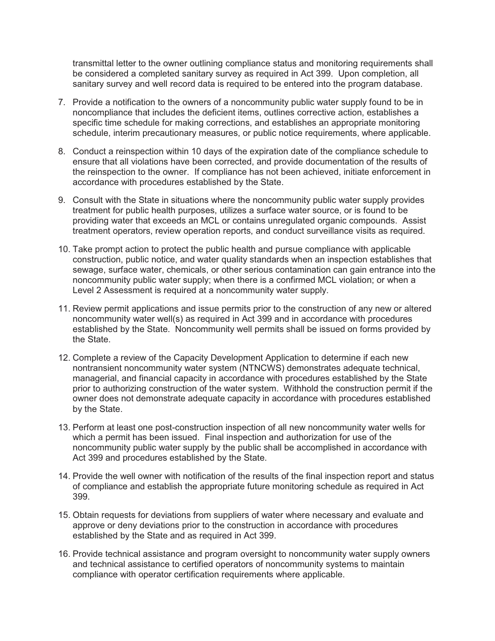transmittal letter to the owner outlining compliance status and monitoring requirements shall be considered a completed sanitary survey as required in Act 399. Upon completion, all sanitary survey and well record data is required to be entered into the program database.

- 7. Provide a notification to the owners of a noncommunity public water supply found to be in noncompliance that includes the deficient items, outlines corrective action, establishes a specific time schedule for making corrections, and establishes an appropriate monitoring schedule, interim precautionary measures, or public notice requirements, where applicable.
- 8. Conduct a reinspection within 10 days of the expiration date of the compliance schedule to ensure that all violations have been corrected, and provide documentation of the results of the reinspection to the owner. If compliance has not been achieved, initiate enforcement in accordance with procedures established by the State.
- 9. Consult with the State in situations where the noncommunity public water supply provides treatment for public health purposes, utilizes a surface water source, or is found to be providing water that exceeds an MCL or contains unregulated organic compounds. Assist treatment operators, review operation reports, and conduct surveillance visits as required.
- 10. Take prompt action to protect the public health and pursue compliance with applicable construction, public notice, and water quality standards when an inspection establishes that sewage, surface water, chemicals, or other serious contamination can gain entrance into the noncommunity public water supply; when there is a confirmed MCL violation; or when a Level 2 Assessment is required at a noncommunity water supply.
- 11. Review permit applications and issue permits prior to the construction of any new or altered noncommunity water well(s) as required in Act 399 and in accordance with procedures established by the State. Noncommunity well permits shall be issued on forms provided by the State.
- 12. Complete a review of the Capacity Development Application to determine if each new nontransient noncommunity water system (NTNCWS) demonstrates adequate technical, managerial, and financial capacity in accordance with procedures established by the State prior to authorizing construction of the water system. Withhold the construction permit if the owner does not demonstrate adequate capacity in accordance with procedures established by the State.
- 13. Perform at least one post-construction inspection of all new noncommunity water wells for which a permit has been issued. Final inspection and authorization for use of the noncommunity public water supply by the public shall be accomplished in accordance with Act 399 and procedures established by the State.
- 14. Provide the well owner with notification of the results of the final inspection report and status of compliance and establish the appropriate future monitoring schedule as required in Act 399.
- 15. Obtain requests for deviations from suppliers of water where necessary and evaluate and approve or deny deviations prior to the construction in accordance with procedures established by the State and as required in Act 399.
- 16. Provide technical assistance and program oversight to noncommunity water supply owners and technical assistance to certified operators of noncommunity systems to maintain compliance with operator certification requirements where applicable.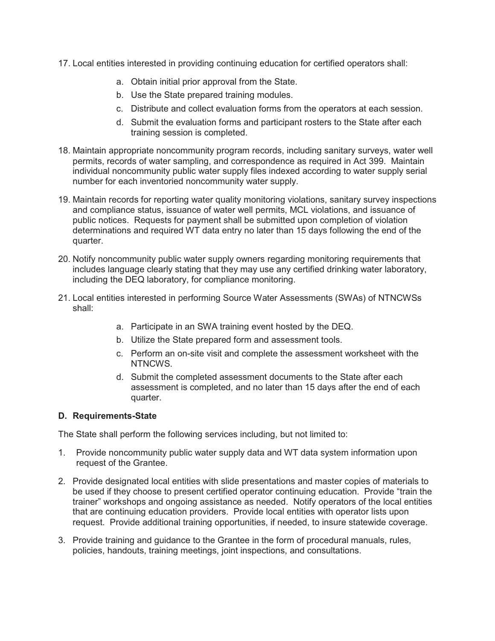- 17. Local entities interested in providing continuing education for certified operators shall:
	- a. Obtain initial prior approval from the State.
	- b. Use the State prepared training modules.
	- c. Distribute and collect evaluation forms from the operators at each session.
	- d. Submit the evaluation forms and participant rosters to the State after each training session is completed.
- 18. Maintain appropriate noncommunity program records, including sanitary surveys, water well permits, records of water sampling, and correspondence as required in Act 399. Maintain individual noncommunity public water supply files indexed according to water supply serial number for each inventoried noncommunity water supply.
- 19. Maintain records for reporting water quality monitoring violations, sanitary survey inspections and compliance status, issuance of water well permits, MCL violations, and issuance of public notices. Requests for payment shall be submitted upon completion of violation determinations and required WT data entry no later than 15 days following the end of the quarter.
- 20. Notify noncommunity public water supply owners regarding monitoring requirements that includes language clearly stating that they may use any certified drinking water laboratory, including the DEQ laboratory, for compliance monitoring.
- 21. Local entities interested in performing Source Water Assessments (SWAs) of NTNCWSs shall:
	- a. Participate in an SWA training event hosted by the DEQ.
	- b. Utilize the State prepared form and assessment tools.
	- c. Perform an on-site visit and complete the assessment worksheet with the NTNCWS.
	- d. Submit the completed assessment documents to the State after each assessment is completed, and no later than 15 days after the end of each quarter.

# **D. Requirements-State**

The State shall perform the following services including, but not limited to:

- 1. Provide noncommunity public water supply data and WT data system information upon request of the Grantee.
- 2. Provide designated local entities with slide presentations and master copies of materials to be used if they choose to present certified operator continuing education. Provide "train the trainer" workshops and ongoing assistance as needed. Notify operators of the local entities that are continuing education providers. Provide local entities with operator lists upon request. Provide additional training opportunities, if needed, to insure statewide coverage.
- 3. Provide training and guidance to the Grantee in the form of procedural manuals, rules, policies, handouts, training meetings, joint inspections, and consultations.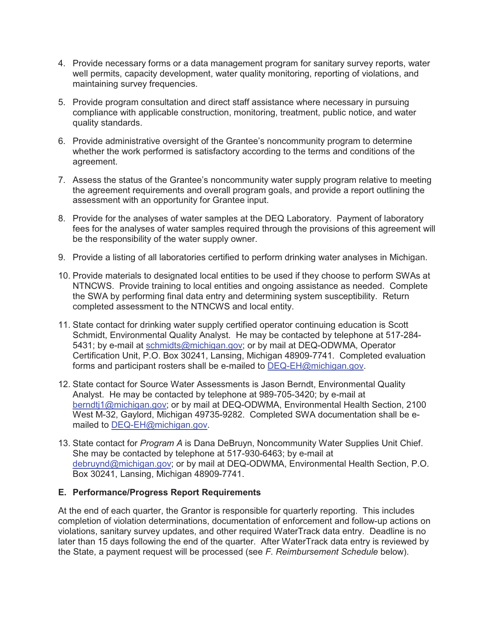- 4. Provide necessary forms or a data management program for sanitary survey reports, water well permits, capacity development, water quality monitoring, reporting of violations, and maintaining survey frequencies.
- 5. Provide program consultation and direct staff assistance where necessary in pursuing compliance with applicable construction, monitoring, treatment, public notice, and water quality standards.
- 6. Provide administrative oversight of the Grantee's noncommunity program to determine whether the work performed is satisfactory according to the terms and conditions of the agreement.
- 7. Assess the status of the Grantee's noncommunity water supply program relative to meeting the agreement requirements and overall program goals, and provide a report outlining the assessment with an opportunity for Grantee input.
- 8. Provide for the analyses of water samples at the DEQ Laboratory. Payment of laboratory fees for the analyses of water samples required through the provisions of this agreement will be the responsibility of the water supply owner.
- 9. Provide a listing of all laboratories certified to perform drinking water analyses in Michigan.
- 10. Provide materials to designated local entities to be used if they choose to perform SWAs at NTNCWS. Provide training to local entities and ongoing assistance as needed. Complete the SWA by performing final data entry and determining system susceptibility. Return completed assessment to the NTNCWS and local entity.
- 11. State contact for drinking water supply certified operator continuing education is Scott Schmidt, Environmental Quality Analyst. He may be contacted by telephone at 517-284- 5431; by e-mail at schmidts@michigan.gov; or by mail at DEQ-ODWMA, Operator Certification Unit, P.O. Box 30241, Lansing, Michigan 48909-7741. Completed evaluation forms and participant rosters shall be e-mailed to **DEQ-EH@michigan.gov**.
- 12. State contact for Source Water Assessments is Jason Berndt, Environmental Quality Analyst. He may be contacted by telephone at 989-705-3420; by e-mail at berndtj1@michigan.gov; or by mail at DEQ-ODWMA, Environmental Health Section, 2100 West M-32, Gaylord, Michigan 49735-9282. Completed SWA documentation shall be emailed to DEQ-EH@michigan.gov.
- 13. State contact for *Program A* is Dana DeBruyn, Noncommunity Water Supplies Unit Chief. She may be contacted by telephone at 517-930-6463; by e-mail at debruynd@michigan.gov; or by mail at DEQ-ODWMA, Environmental Health Section, P.O. Box 30241, Lansing, Michigan 48909-7741.

# **E. Performance/Progress Report Requirements**

At the end of each quarter, the Grantor is responsible for quarterly reporting. This includes completion of violation determinations, documentation of enforcement and follow-up actions on violations, sanitary survey updates, and other required WaterTrack data entry. Deadline is no later than 15 days following the end of the quarter. After WaterTrack data entry is reviewed by the State, a payment request will be processed (see *F. Reimbursement Schedule* below).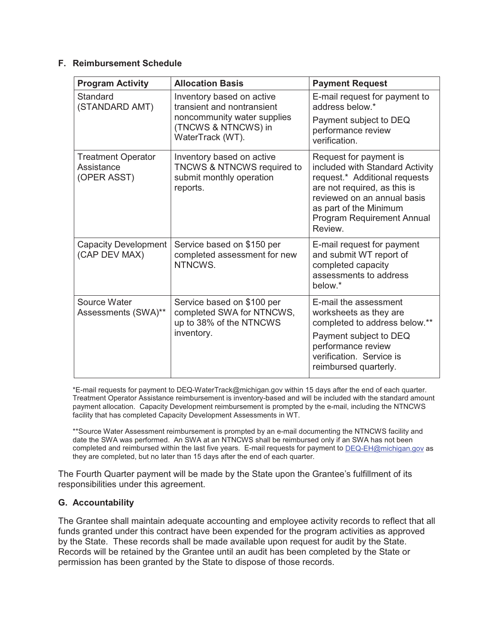# **F. Reimbursement Schedule**

| <b>Program Activity</b>                                | <b>Allocation Basis</b>                                                                                    | <b>Payment Request</b>                                                                                                                                                                                                       |  |  |  |  |  |  |
|--------------------------------------------------------|------------------------------------------------------------------------------------------------------------|------------------------------------------------------------------------------------------------------------------------------------------------------------------------------------------------------------------------------|--|--|--|--|--|--|
| Standard<br>(STANDARD AMT)                             | Inventory based on active<br>transient and nontransient                                                    | E-mail request for payment to<br>address below.*                                                                                                                                                                             |  |  |  |  |  |  |
|                                                        | noncommunity water supplies<br>(TNCWS & NTNCWS) in<br>WaterTrack (WT).                                     | Payment subject to DEQ<br>performance review<br>verification.                                                                                                                                                                |  |  |  |  |  |  |
| <b>Treatment Operator</b><br>Assistance<br>(OPER ASST) | Inventory based on active<br><b>TNCWS &amp; NTNCWS required to</b><br>submit monthly operation<br>reports. | Request for payment is<br>included with Standard Activity<br>request.* Additional requests<br>are not required, as this is<br>reviewed on an annual basis<br>as part of the Minimum<br>Program Requirement Annual<br>Review. |  |  |  |  |  |  |
| <b>Capacity Development</b><br>(CAP DEV MAX)           | Service based on \$150 per<br>completed assessment for new<br>NTNCWS.                                      | E-mail request for payment<br>and submit WT report of<br>completed capacity<br>assessments to address<br>below.*                                                                                                             |  |  |  |  |  |  |
| Source Water<br>Assessments (SWA)**                    | Service based on \$100 per<br>completed SWA for NTNCWS,<br>up to 38% of the NTNCWS<br>inventory.           | E-mail the assessment<br>worksheets as they are<br>completed to address below.**<br>Payment subject to DEQ<br>performance review<br>verification. Service is<br>reimbursed quarterly.                                        |  |  |  |  |  |  |

\*E-mail requests for payment to DEQ-WaterTrack@michigan.gov within 15 days after the end of each quarter. Treatment Operator Assistance reimbursement is inventory-based and will be included with the standard amount payment allocation. Capacity Development reimbursement is prompted by the e-mail, including the NTNCWS facility that has completed Capacity Development Assessments in WT.

\*\*Source Water Assessment reimbursement is prompted by an e-mail documenting the NTNCWS facility and date the SWA was performed. An SWA at an NTNCWS shall be reimbursed only if an SWA has not been completed and reimbursed within the last five years. E-mail requests for payment to DEQ-EH@michigan.gov as they are completed, but no later than 15 days after the end of each quarter.

The Fourth Quarter payment will be made by the State upon the Grantee's fulfillment of its responsibilities under this agreement.

# **G. Accountability**

The Grantee shall maintain adequate accounting and employee activity records to reflect that all funds granted under this contract have been expended for the program activities as approved by the State. These records shall be made available upon request for audit by the State. Records will be retained by the Grantee until an audit has been completed by the State or permission has been granted by the State to dispose of those records.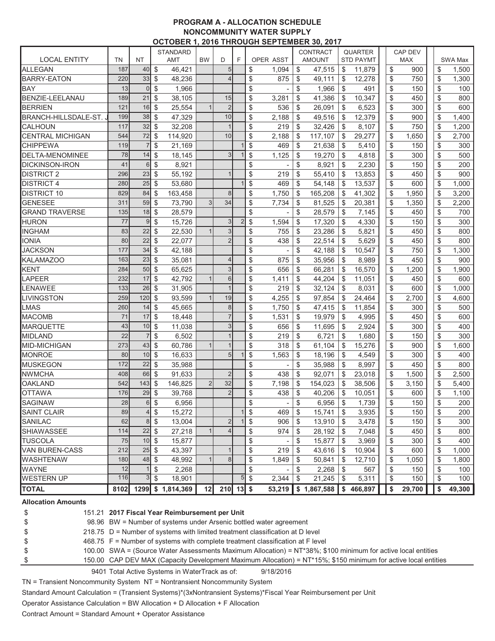#### **PROGRAM A - ALLOCATION SCHEDULE NONCOMMUNITY WATER SUPPLY OCTOBER 1, 2016 THROUGH SEPTEMBER 30, 2017**

|                         |           |                |               |                 |                |                |                | <u>UCTUBER 1, ZUT6 THRUUGH SEPTEMBER 30, ZUT7</u> |                 |                  |                |              |
|-------------------------|-----------|----------------|---------------|-----------------|----------------|----------------|----------------|---------------------------------------------------|-----------------|------------------|----------------|--------------|
|                         |           |                |               | <b>STANDARD</b> |                |                |                |                                                   | <b>CONTRACT</b> | <b>QUARTER</b>   | <b>CAP DEV</b> |              |
| <b>LOCAL ENTITY</b>     | <b>TN</b> | <b>NT</b>      |               | AMT             | <b>BW</b>      | D              | F              | <b>OPER ASST</b>                                  | <b>AMOUNT</b>   | <b>STD PAYMT</b> | <b>MAX</b>     | SWA Max      |
| <b>ALLEGAN</b>          | 187       | 40             | \$            | 46,421          |                | 5              |                | \$<br>1,094                                       | \$<br>47,515    | \$<br>11,879     | \$<br>900      | \$<br>1,500  |
| <b>BARRY-EATON</b>      | 220       | 33             | \$            | 48,236          |                | $\overline{4}$ |                | \$<br>875                                         | \$<br>49,111    | \$<br>12,278     | \$<br>750      | \$<br>1,300  |
| IBAY                    | 13        | $\overline{0}$ | \$            | 1,966           |                |                |                | \$                                                | \$<br>1,966     | \$<br>491        | \$<br>150      | \$<br>100    |
| <b>BENZIE-LEELANAU</b>  | 189       | 21             | \$            | 38,105          |                | 15             |                | \$<br>3,281                                       | \$<br>41,386    | \$<br>10,347     | \$<br>450      | \$<br>800    |
| <b>BERRIEN</b>          | 121       | 16             | \$            | 25,554          |                | $\overline{2}$ |                | \$<br>536                                         | \$<br>26,091    | \$<br>6,523      | \$<br>300      | \$<br>600    |
| BRANCH-HILLSDALE-ST.    | 199       | 38             | \$            | 47,329          |                | 10             |                | \$<br>2,188                                       | \$<br>49,516    | \$<br>12,379     | \$<br>900      | \$<br>1,400  |
| ICALHOUN                | 117       | 32             | \$            | 32,208          |                | $\mathbf{1}$   |                | \$<br>219                                         | \$<br>32,426    | \$<br>8,107      | \$<br>750      | \$<br>1,200  |
| <b>CENTRAL MICHIGAN</b> | 544       | 72             | \$            | 114,920         |                | 10             |                | \$<br>2,188                                       | \$<br>117,107   | \$<br>29,277     | \$<br>1,650    | \$<br>2,700  |
| <b>CHIPPEWA</b>         | 119       |                | \$            | 21,169          |                |                |                | \$<br>469                                         | \$<br>21,638    | \$<br>5,410      | \$<br>150      | \$<br>300    |
| <b>DELTA-MENOMINEE</b>  | 78        | 14             | \$            | 18,145          |                | 3              |                | \$<br>1,125                                       | \$<br>19,270    | \$<br>4,818      | \$<br>300      | \$<br>500    |
| <b>DICKINSON-IRON</b>   | 41        | 6              | \$            | 8,921           |                |                |                | \$                                                | \$<br>8,921     | \$<br>2,230      | \$<br>150      | \$<br>200    |
| <b>DISTRICT 2</b>       | 296       | 23             | \$            | 55,192          |                | $\overline{1}$ |                | \$<br>219                                         | \$<br>55,410    | \$<br>13,853     | \$<br>450      | \$<br>900    |
| <b>DISTRICT 4</b>       | 280       | 25             | \$            | 53,680          |                |                | 1              | \$<br>469                                         | \$<br>54,148    | \$<br>13,537     | \$<br>600      | \$<br>1,000  |
| <b>DISTRICT 10</b>      | 829       | 84             | \$            | 163,458         |                | 8              |                | \$<br>1,750                                       | \$<br>165,208   | \$<br>41,302     | \$<br>1,950    | \$<br>3,200  |
| <b>GENESEE</b>          | 311       | 59             | \$            | 73,790          | 3              | 34             |                | \$<br>7,734                                       | \$<br>81,525    | \$<br>20,381     | \$<br>1,350    | \$<br>2,200  |
| <b>GRAND TRAVERSE</b>   | 135       | 18             | <sup>\$</sup> | 28,579          |                |                |                | \$                                                | \$<br>28,579    | \$<br>7,145      | \$<br>450      | \$<br>700    |
| <b>HURON</b>            | 77        | 9              | \$            | 15,726          |                | $\mathbf{3}$   | $\overline{2}$ | \$<br>1.594                                       | \$<br>17,320    | \$<br>4,330      | \$<br>150      | \$<br>300    |
| <b>INGHAM</b>           | 83        | 22             | \$            | 22,530          |                | 3              |                | \$<br>755                                         | \$<br>23,286    | \$<br>5,821      | \$<br>450      | \$<br>800    |
|                         | 80        | 22             | \$            |                 |                | $\overline{2}$ |                |                                                   |                 |                  | \$             | \$           |
| <b>IONIA</b>            |           |                |               | 22,077          |                |                |                | \$<br>438                                         | \$<br>22,514    | \$<br>5,629      | 450            | 800          |
| <b>JACKSON</b>          | 177       | 34             | $\frac{1}{2}$ | 42,188          |                |                |                | \$                                                | \$<br>42,188    | \$<br>10,547     | \$<br>750      | \$<br>1,300  |
| <b>KALAMAZOO</b>        | 163       | 23             | \$            | 35,081          |                | $\overline{4}$ |                | \$<br>875                                         | \$<br>35,956    | \$<br>8,989      | \$<br>450      | \$<br>900    |
| KENT                    | 284       | 50             | \$            | 65,625          |                | 3              |                | \$<br>656                                         | \$<br>66,281    | \$<br>16,570     | \$<br>1,200    | \$<br>1,900  |
| LAPEER                  | 232       | 17             | $\frac{1}{2}$ | 42,792          |                | 6              |                | \$<br>1,411                                       | \$<br>44,204    | \$<br>11,051     | \$<br>450      | \$<br>600    |
| LENAWEE                 | 133       | 26             | \$            | 31,905          |                | $\mathbf{1}$   |                | \$<br>219                                         | \$<br>32,124    | \$<br>8,031      | \$<br>600      | \$<br>1,000  |
| LIVINGSTON              | 259       | 120            | \$            | 93,599          |                | 19             |                | \$<br>4,255                                       | \$<br>97,854    | \$<br>24,464     | \$<br>2,700    | \$<br>4,600  |
| LMAS                    | 260       | 14             | \$            | 45,665          |                | $\,8\,$        |                | \$<br>1,750                                       | \$<br>47,415    | \$<br>11,854     | \$<br>300      | \$<br>500    |
| <b>MACOMB</b>           | 71        | 17             | \$            | 18,448          |                | $\overline{7}$ |                | \$<br>1,531                                       | \$<br>19,979    | \$<br>4,995      | \$<br>450      | \$<br>600    |
| <b>MARQUETTE</b>        | 43        | 10             | \$            | 11,038          |                | 3              |                | \$<br>656                                         | \$<br>11,695    | \$<br>2,924      | \$<br>300      | \$<br>400    |
| MIDLAND                 | 22        |                | \$            | 6,502           |                | $\mathbf{1}$   |                | \$<br>219                                         | \$<br>6,721     | \$<br>1,680      | \$<br>150      | \$<br>300    |
| MID-MICHIGAN            | 273       | 43             | \$            | 60,786          |                | $\mathbf{1}$   |                | \$<br>318                                         | \$<br>61,104    | \$<br>15,276     | \$<br>900      | \$<br>1.600  |
| MONROE                  | 80        | 10             | \$            | 16,633          |                | 5              |                | \$<br>1,563                                       | \$<br>18,196    | \$<br>4,549      | \$<br>300      | \$<br>400    |
| <b>MUSKEGON</b>         | 172       | 22             | \$            | 35,988          |                |                |                | \$                                                | \$<br>35,988    | \$<br>8,997      | \$<br>450      | \$<br>800    |
| <b>NWMCHA</b>           | 408       | 66             | \$            | 91,633          |                | $\overline{2}$ |                | \$<br>438                                         | \$<br>92,071    | \$<br>23,018     | \$<br>1,500    | \$<br>2,500  |
| <b>OAKLAND</b>          | 542       | 143            | \$            | 146,825         | $\overline{2}$ | 32             |                | \$<br>7,198                                       | \$<br>154,023   | \$<br>38,506     | \$<br>3,150    | \$<br>5,400  |
| <b>OTTAWA</b>           | 176       | 29             | \$            | 39,768          |                | $\overline{2}$ |                | \$<br>438                                         | \$<br>40,206    | \$<br>10,051     | \$<br>600      | \$<br>1,100  |
| <b>SAGINAW</b>          | 28        | 6              | $\mathbb{S}$  | 6.956           |                |                |                | \$                                                | \$<br>6,956     | \$<br>1,739      | \$<br>150      | \$<br>200    |
| <b>SAINT CLAIR</b>      | 89        | 4              | $\frac{1}{2}$ | 15,272          |                |                | 1              | \$<br>469                                         | \$<br>15,741    | \$<br>3,935      | \$<br>150      | \$<br>200    |
| SANILAC                 | 62        | 8              | $\frac{1}{2}$ | 13,004          |                | 2              | 1              | \$<br>906                                         | \$<br>13,910    | \$<br>3,478      | \$<br>150      | \$<br>300    |
| SHIAWASSEE              | 114       | 22             | \$            | 27,218          |                | 4              |                | \$<br>974                                         | \$<br>28,192    | \$<br>7,048      | \$<br>450      | \$<br>800    |
| <b>TUSCOLA</b>          | 75        | 10             | \$            | 15,877          |                |                |                | \$                                                | \$<br>15,877    | \$<br>3,969      | \$<br>300      | \$<br>400    |
| VAN BUREN-CASS          | 212       | 25             | \$            | 43,397          |                |                |                | \$<br>219                                         | \$<br>43,616    | \$<br>10,904     | \$<br>600      | \$<br>1,000  |
| <b>WASHTENAW</b>        | 180       | 48             | \$            | 48,992          |                | 8              |                | \$<br>1,849                                       | \$<br>50,841    | \$<br>12,710     | \$<br>1,050    | \$<br>1,800  |
| <b>WAYNE</b>            | 12        |                | \$            | 2,268           |                |                |                | \$                                                | \$<br>2,268     | \$<br>567        | \$<br>150      | \$<br>100    |
| <b>WESTERN UP</b>       | 116       | 3              | \$            | 18,901          |                |                | 5              | \$<br>2,344                                       | \$<br>21,245    | \$<br>5,311      | \$<br>150      | \$<br>100    |
| <b>TOTAL</b>            | 8102      | 1299           |               | \$1,814,369     | 12             | 210            | $13$ \$        | 53,219                                            | \$<br>1,867,588 | \$<br>466,897    | \$<br>29,700   | \$<br>49,300 |
|                         |           |                |               |                 |                |                |                |                                                   |                 |                  |                |              |

#### **Allocation Amounts**

| \$ | 151.21 2017 Fiscal Year Reimbursement per Unit                                                                 |
|----|----------------------------------------------------------------------------------------------------------------|
| \$ | 98.96 BW = Number of systems under Arsenic bottled water agreement                                             |
| \$ | 218.75 D = Number of systems with limited treatment classification at D level                                  |
| \$ | 468.75 F = Number of systems with complete treatment classification at F level                                 |
| \$ | 100.00 SWA = (Source Water Assessments Maximum Allocation) = NT*38%; \$100 minimum for active local entities   |
| \$ | 150.00 CAP DEV MAX (Capacity Development Maximum Allocation) = NT*15%; \$150 minimum for active local entities |
|    |                                                                                                                |

9401 Total Active Systems in WaterTrack as of: 9/18/2016

TN = Transient Noncommunity System NT = Nontransient Noncommunity System

Standard Amount Calculation = (Transient Systems)\*(3xNontransient Systems)\*Fiscal Year Reimbursement per Unit

Operator Assistance Calculation = BW Allocation + D Allocation + F Allocation

Contract Amount = Standard Amount + Operator Assistance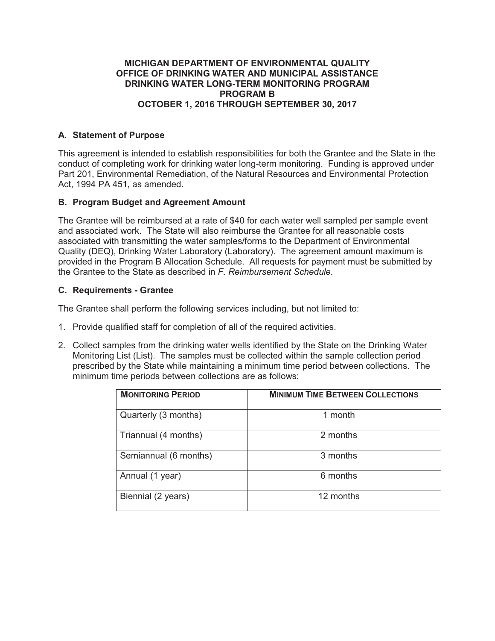#### **MICHIGAN DEPARTMENT OF ENVIRONMENTAL QUALITY OFFICE OF DRINKING WATER AND MUNICIPAL ASSISTANCE DRINKING WATER LONG-TERM MONITORING PROGRAM PROGRAM B OCTOBER 1, 2016 THROUGH SEPTEMBER 30, 2017**

# **A. Statement of Purpose**

This agreement is intended to establish responsibilities for both the Grantee and the State in the conduct of completing work for drinking water long-term monitoring. Funding is approved under Part 201, Environmental Remediation, of the Natural Resources and Environmental Protection Act, 1994 PA 451, as amended.

# **B. Program Budget and Agreement Amount**

The Grantee will be reimbursed at a rate of \$40 for each water well sampled per sample event and associated work. The State will also reimburse the Grantee for all reasonable costs associated with transmitting the water samples/forms to the Department of Environmental Quality (DEQ), Drinking Water Laboratory (Laboratory). The agreement amount maximum is provided in the Program B Allocation Schedule. All requests for payment must be submitted by the Grantee to the State as described in *F. Reimbursement Schedule*.

# **C. Requirements - Grantee**

The Grantee shall perform the following services including, but not limited to:

- 1. Provide qualified staff for completion of all of the required activities.
- 2. Collect samples from the drinking water wells identified by the State on the Drinking Water Monitoring List (List). The samples must be collected within the sample collection period prescribed by the State while maintaining a minimum time period between collections. The minimum time periods between collections are as follows:

| <b>MONITORING PERIOD</b> | <b>MINIMUM TIME BETWEEN COLLECTIONS</b> |
|--------------------------|-----------------------------------------|
| Quarterly (3 months)     | 1 month                                 |
| Triannual (4 months)     | 2 months                                |
| Semiannual (6 months)    | 3 months                                |
| Annual (1 year)          | 6 months                                |
| Biennial (2 years)       | 12 months                               |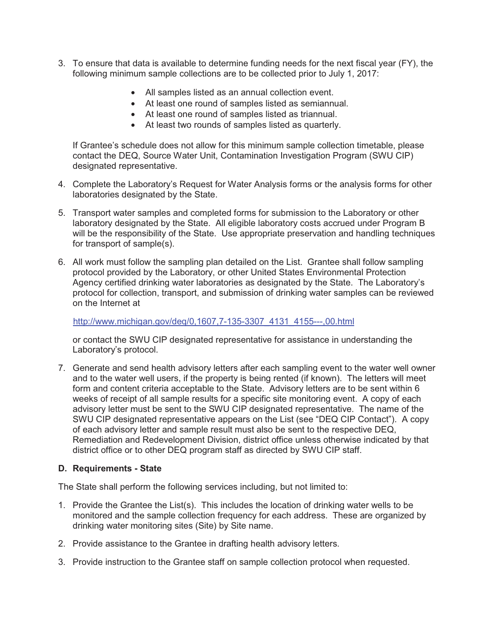- 3. To ensure that data is available to determine funding needs for the next fiscal year (FY), the following minimum sample collections are to be collected prior to July 1, 2017:
	- All samples listed as an annual collection event.
	- At least one round of samples listed as semiannual.
	- At least one round of samples listed as triannual.
	- At least two rounds of samples listed as quarterly.

If Grantee's schedule does not allow for this minimum sample collection timetable, please contact the DEQ, Source Water Unit, Contamination Investigation Program (SWU CIP) designated representative.

- 4. Complete the Laboratory's Request for Water Analysis forms or the analysis forms for other laboratories designated by the State.
- 5. Transport water samples and completed forms for submission to the Laboratory or other laboratory designated by the State. All eligible laboratory costs accrued under Program B will be the responsibility of the State. Use appropriate preservation and handling techniques for transport of sample(s).
- 6. All work must follow the sampling plan detailed on the List. Grantee shall follow sampling protocol provided by the Laboratory, or other United States Environmental Protection Agency certified drinking water laboratories as designated by the State. The Laboratory's protocol for collection, transport, and submission of drinking water samples can be reviewed on the Internet at

http://www.michigan.gov/deq/0,1607,7-135-3307\_4131\_4155---,00.html

or contact the SWU CIP designated representative for assistance in understanding the Laboratory's protocol.

7. Generate and send health advisory letters after each sampling event to the water well owner and to the water well users, if the property is being rented (if known). The letters will meet form and content criteria acceptable to the State. Advisory letters are to be sent within 6 weeks of receipt of all sample results for a specific site monitoring event. A copy of each advisory letter must be sent to the SWU CIP designated representative. The name of the SWU CIP designated representative appears on the List (see "DEQ CIP Contact"). A copy of each advisory letter and sample result must also be sent to the respective DEQ, Remediation and Redevelopment Division, district office unless otherwise indicated by that district office or to other DEQ program staff as directed by SWU CIP staff.

# **D. Requirements - State**

The State shall perform the following services including, but not limited to:

- 1. Provide the Grantee the List(s). This includes the location of drinking water wells to be monitored and the sample collection frequency for each address. These are organized by drinking water monitoring sites (Site) by Site name.
- 2. Provide assistance to the Grantee in drafting health advisory letters.
- 3. Provide instruction to the Grantee staff on sample collection protocol when requested.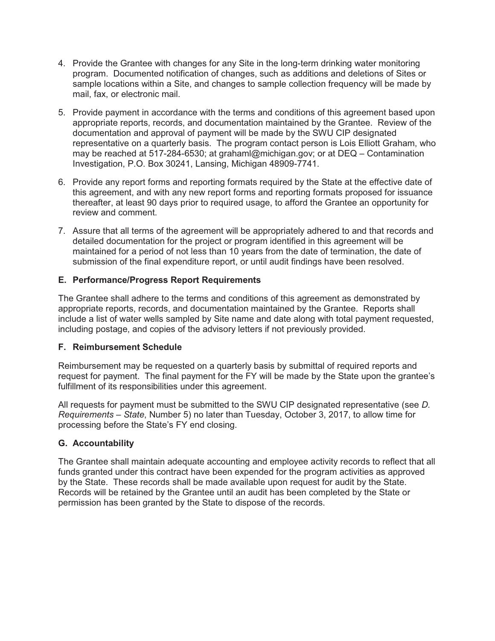- 4. Provide the Grantee with changes for any Site in the long-term drinking water monitoring program. Documented notification of changes, such as additions and deletions of Sites or sample locations within a Site, and changes to sample collection frequency will be made by mail, fax, or electronic mail.
- 5. Provide payment in accordance with the terms and conditions of this agreement based upon appropriate reports, records, and documentation maintained by the Grantee. Review of the documentation and approval of payment will be made by the SWU CIP designated representative on a quarterly basis. The program contact person is Lois Elliott Graham, who may be reached at 517-284-6530; at grahaml@michigan.gov; or at DEQ – Contamination Investigation, P.O. Box 30241, Lansing, Michigan 48909-7741.
- 6. Provide any report forms and reporting formats required by the State at the effective date of this agreement, and with any new report forms and reporting formats proposed for issuance thereafter, at least 90 days prior to required usage, to afford the Grantee an opportunity for review and comment.
- 7. Assure that all terms of the agreement will be appropriately adhered to and that records and detailed documentation for the project or program identified in this agreement will be maintained for a period of not less than 10 years from the date of termination, the date of submission of the final expenditure report, or until audit findings have been resolved.

# **E. Performance/Progress Report Requirements**

The Grantee shall adhere to the terms and conditions of this agreement as demonstrated by appropriate reports, records, and documentation maintained by the Grantee. Reports shall include a list of water wells sampled by Site name and date along with total payment requested, including postage, and copies of the advisory letters if not previously provided.

# **F. Reimbursement Schedule**

Reimbursement may be requested on a quarterly basis by submittal of required reports and request for payment. The final payment for the FY will be made by the State upon the grantee's fulfillment of its responsibilities under this agreement.

All requests for payment must be submitted to the SWU CIP designated representative (see *D. Requirements – State*, Number 5) no later than Tuesday, October 3, 2017, to allow time for processing before the State's FY end closing.

# **G. Accountability**

The Grantee shall maintain adequate accounting and employee activity records to reflect that all funds granted under this contract have been expended for the program activities as approved by the State. These records shall be made available upon request for audit by the State. Records will be retained by the Grantee until an audit has been completed by the State or permission has been granted by the State to dispose of the records.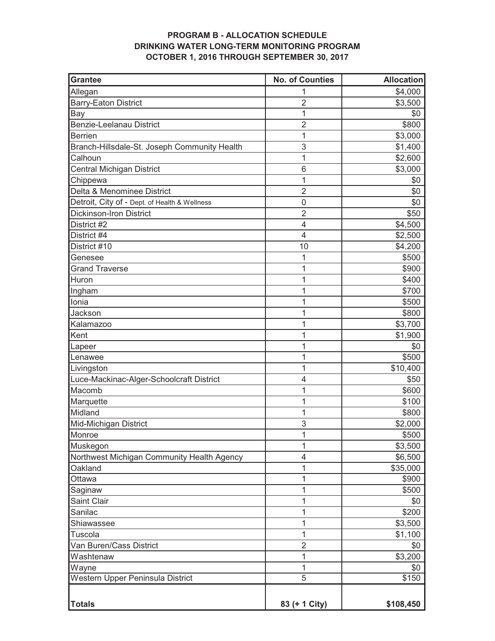# **PROGRAM B - ALLOCATION SCHEDULE DRINKING WATER LONG-TERM MONITORING PROGRAM OCTOBER 1, 2016 THROUGH SEPTEMBER 30, 2017**

| <b>Grantee</b>                                | <b>No. of Counties</b> | <b>Allocation</b> |
|-----------------------------------------------|------------------------|-------------------|
| Allegan                                       | 1                      | \$4,000           |
| <b>Barry-Eaton District</b>                   | $\overline{2}$         | \$3,500           |
| Bay                                           | 1                      | \$0               |
| <b>Benzie-Leelanau District</b>               | $\overline{2}$         | \$800             |
| <b>Berrien</b>                                | 1                      | \$3,000           |
| Branch-Hillsdale-St. Joseph Community Health  | 3                      | \$1,400           |
| Calhoun                                       | 1                      | \$2,600           |
| Central Michigan District                     | 6                      | \$3,000           |
| Chippewa                                      | 1                      | \$0               |
| Delta & Menominee District                    | $\overline{2}$         | \$0               |
| Detroit, City of - Dept. of Health & Wellness | 0                      | \$0               |
| <b>Dickinson-Iron District</b>                | $\overline{2}$         | \$50              |
| District #2                                   | $\overline{4}$         | \$4,500           |
| District #4                                   | 4                      | \$2,500           |
| District #10                                  | 10                     | \$4,200           |
| Genesee                                       | 1                      | \$500             |
| <b>Grand Traverse</b>                         | 1                      | \$900             |
| Huron                                         | 1                      | \$400             |
| Ingham                                        | 1                      | \$700             |
| Ionia                                         | 1                      | \$500             |
| Jackson                                       | 1                      | \$800             |
| Kalamazoo                                     | 1                      | \$3,700           |
| Kent                                          | 1                      | \$1,900           |
| Lapeer                                        | 1                      | \$0               |
| Lenawee                                       | 1                      | \$500             |
| Livingston                                    | 1                      | \$10,400          |
| Luce-Mackinac-Alger-Schoolcraft District      | 4                      | \$50              |
| Macomb                                        | 1                      | \$600             |
| Marquette                                     | 1                      | \$100             |
| Midland                                       | 1                      | \$800             |
| Mid-Michigan District                         | 3                      | \$2,000           |
| Monroe                                        | 1                      | \$500             |
| Muskegon                                      | 1                      | \$3,500           |
| Northwest Michigan Community Health Agency    | 4                      | \$6,500           |
| Oakland                                       | 1                      | \$35,000          |
| Ottawa                                        | 1                      | \$900             |
| Saginaw                                       | 1                      | \$500             |
| Saint Clair                                   | 1                      | \$0               |
| Sanilac                                       | 1                      | \$200             |
| Shiawassee                                    | 1                      | \$3,500           |
| Tuscola                                       | 1                      | \$1,100           |
| Van Buren/Cass District                       | $\overline{2}$         | \$0               |
| Washtenaw                                     | 1                      | \$3,200           |
| Wayne                                         | 1                      | \$0               |
| Western Upper Peninsula District              | $\overline{5}$         | \$150             |
|                                               |                        |                   |
| <b>Totals</b>                                 | 83 (+ 1 City)          | \$108,450         |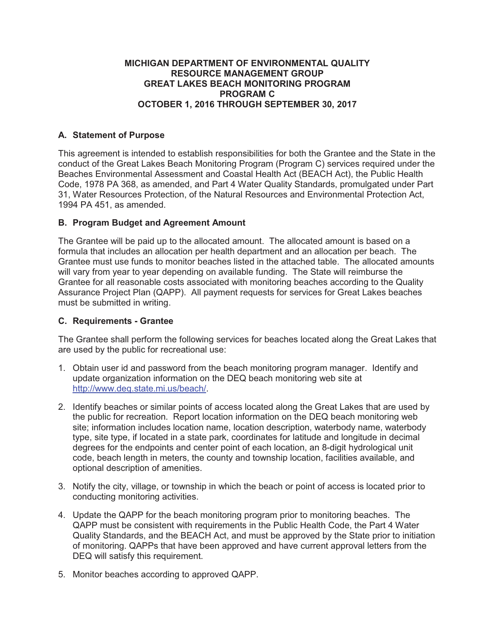# **MICHIGAN DEPARTMENT OF ENVIRONMENTAL QUALITY RESOURCE MANAGEMENT GROUP GREAT LAKES BEACH MONITORING PROGRAM PROGRAM C OCTOBER 1, 2016 THROUGH SEPTEMBER 30, 2017**

# **A. Statement of Purpose**

This agreement is intended to establish responsibilities for both the Grantee and the State in the conduct of the Great Lakes Beach Monitoring Program (Program C) services required under the Beaches Environmental Assessment and Coastal Health Act (BEACH Act), the Public Health Code, 1978 PA 368, as amended, and Part 4 Water Quality Standards, promulgated under Part 31, Water Resources Protection, of the Natural Resources and Environmental Protection Act, 1994 PA 451, as amended.

# **B. Program Budget and Agreement Amount**

The Grantee will be paid up to the allocated amount. The allocated amount is based on a formula that includes an allocation per health department and an allocation per beach. The Grantee must use funds to monitor beaches listed in the attached table. The allocated amounts will vary from year to year depending on available funding. The State will reimburse the Grantee for all reasonable costs associated with monitoring beaches according to the Quality Assurance Project Plan (QAPP). All payment requests for services for Great Lakes beaches must be submitted in writing.

# **C. Requirements - Grantee**

The Grantee shall perform the following services for beaches located along the Great Lakes that are used by the public for recreational use:

- 1. Obtain user id and password from the beach monitoring program manager. Identify and update organization information on the DEQ beach monitoring web site at http://www.deq.state.mi.us/beach/.
- 2. Identify beaches or similar points of access located along the Great Lakes that are used by the public for recreation. Report location information on the DEQ beach monitoring web site; information includes location name, location description, waterbody name, waterbody type, site type, if located in a state park, coordinates for latitude and longitude in decimal degrees for the endpoints and center point of each location, an 8-digit hydrological unit code, beach length in meters, the county and township location, facilities available, and optional description of amenities.
- 3. Notify the city, village, or township in which the beach or point of access is located prior to conducting monitoring activities.
- 4. Update the QAPP for the beach monitoring program prior to monitoring beaches. The QAPP must be consistent with requirements in the Public Health Code, the Part 4 Water Quality Standards, and the BEACH Act, and must be approved by the State prior to initiation of monitoring. QAPPs that have been approved and have current approval letters from the DEQ will satisfy this requirement.
- 5. Monitor beaches according to approved QAPP.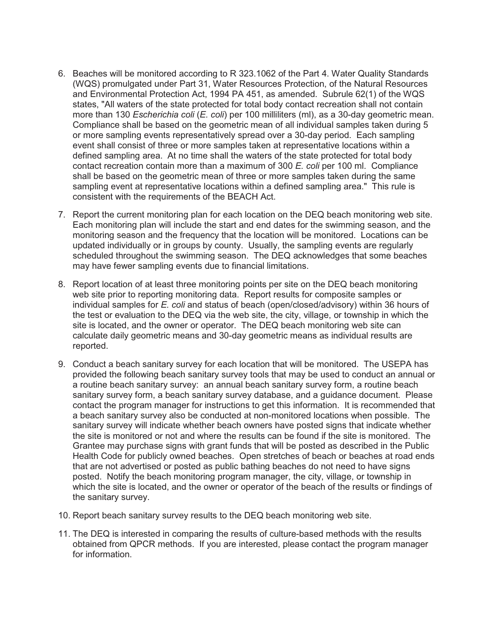- 6. Beaches will be monitored according to R 323.1062 of the Part 4. Water Quality Standards (WQS) promulgated under Part 31, Water Resources Protection, of the Natural Resources and Environmental Protection Act, 1994 PA 451, as amended. Subrule 62(1) of the WQS states, "All waters of the state protected for total body contact recreation shall not contain more than 130 *Escherichia coli* (*E. coli*) per 100 milliliters (ml), as a 30-day geometric mean. Compliance shall be based on the geometric mean of all individual samples taken during 5 or more sampling events representatively spread over a 30-day period. Each sampling event shall consist of three or more samples taken at representative locations within a defined sampling area. At no time shall the waters of the state protected for total body contact recreation contain more than a maximum of 300 *E. coli* per 100 ml. Compliance shall be based on the geometric mean of three or more samples taken during the same sampling event at representative locations within a defined sampling area." This rule is consistent with the requirements of the BEACH Act.
- 7. Report the current monitoring plan for each location on the DEQ beach monitoring web site. Each monitoring plan will include the start and end dates for the swimming season, and the monitoring season and the frequency that the location will be monitored. Locations can be updated individually or in groups by county. Usually, the sampling events are regularly scheduled throughout the swimming season. The DEQ acknowledges that some beaches may have fewer sampling events due to financial limitations.
- 8. Report location of at least three monitoring points per site on the DEQ beach monitoring web site prior to reporting monitoring data. Report results for composite samples or individual samples for *E. coli* and status of beach (open/closed/advisory) within 36 hours of the test or evaluation to the DEQ via the web site, the city, village, or township in which the site is located, and the owner or operator. The DEQ beach monitoring web site can calculate daily geometric means and 30-day geometric means as individual results are reported.
- 9. Conduct a beach sanitary survey for each location that will be monitored. The USEPA has provided the following beach sanitary survey tools that may be used to conduct an annual or a routine beach sanitary survey: an annual beach sanitary survey form, a routine beach sanitary survey form, a beach sanitary survey database, and a guidance document. Please contact the program manager for instructions to get this information. It is recommended that a beach sanitary survey also be conducted at non-monitored locations when possible. The sanitary survey will indicate whether beach owners have posted signs that indicate whether the site is monitored or not and where the results can be found if the site is monitored. The Grantee may purchase signs with grant funds that will be posted as described in the Public Health Code for publicly owned beaches. Open stretches of beach or beaches at road ends that are not advertised or posted as public bathing beaches do not need to have signs posted. Notify the beach monitoring program manager, the city, village, or township in which the site is located, and the owner or operator of the beach of the results or findings of the sanitary survey.
- 10. Report beach sanitary survey results to the DEQ beach monitoring web site.
- 11. The DEQ is interested in comparing the results of culture-based methods with the results obtained from QPCR methods. If you are interested, please contact the program manager for information.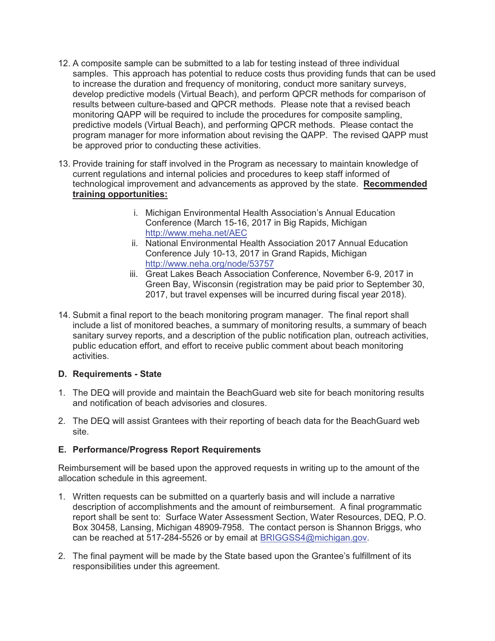- 12. A composite sample can be submitted to a lab for testing instead of three individual samples. This approach has potential to reduce costs thus providing funds that can be used to increase the duration and frequency of monitoring, conduct more sanitary surveys, develop predictive models (Virtual Beach), and perform QPCR methods for comparison of results between culture-based and QPCR methods. Please note that a revised beach monitoring QAPP will be required to include the procedures for composite sampling, predictive models (Virtual Beach), and performing QPCR methods. Please contact the program manager for more information about revising the QAPP. The revised QAPP must be approved prior to conducting these activities.
- 13. Provide training for staff involved in the Program as necessary to maintain knowledge of current regulations and internal policies and procedures to keep staff informed of technological improvement and advancements as approved by the state. **Recommended training opportunities:** 
	- i. Michigan Environmental Health Association's Annual Education Conference (March 15-16, 2017 in Big Rapids, Michigan http://www.meha.net/AEC
	- ii. National Environmental Health Association 2017 Annual Education Conference July 10-13, 2017 in Grand Rapids, Michigan http://www.neha.org/node/53757
	- iii. Great Lakes Beach Association Conference, November 6-9, 2017 in Green Bay, Wisconsin (registration may be paid prior to September 30, 2017, but travel expenses will be incurred during fiscal year 2018).
- 14. Submit a final report to the beach monitoring program manager. The final report shall include a list of monitored beaches, a summary of monitoring results, a summary of beach sanitary survey reports, and a description of the public notification plan, outreach activities, public education effort, and effort to receive public comment about beach monitoring activities.

# **D. Requirements - State**

- 1. The DEQ will provide and maintain the BeachGuard web site for beach monitoring results and notification of beach advisories and closures.
- 2. The DEQ will assist Grantees with their reporting of beach data for the BeachGuard web site.

# **E. Performance/Progress Report Requirements**

Reimbursement will be based upon the approved requests in writing up to the amount of the allocation schedule in this agreement.

- 1. Written requests can be submitted on a quarterly basis and will include a narrative description of accomplishments and the amount of reimbursement. A final programmatic report shall be sent to: Surface Water Assessment Section, Water Resources, DEQ, P.O. Box 30458, Lansing, Michigan 48909-7958. The contact person is Shannon Briggs, who can be reached at 517-284-5526 or by email at BRIGGSS4@michigan.gov.
- 2. The final payment will be made by the State based upon the Grantee's fulfillment of its responsibilities under this agreement.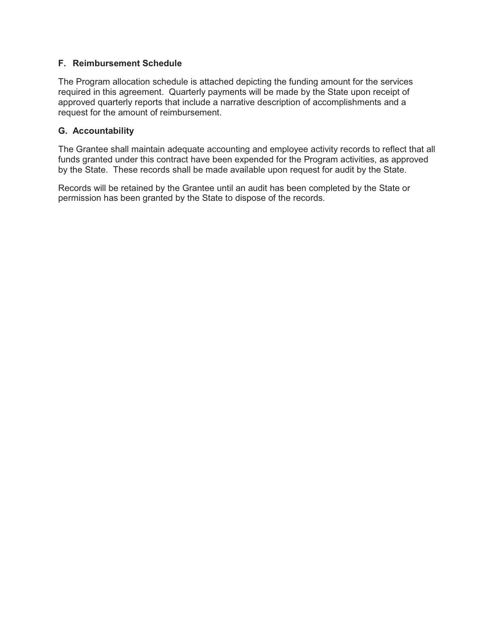# **F. Reimbursement Schedule**

The Program allocation schedule is attached depicting the funding amount for the services required in this agreement. Quarterly payments will be made by the State upon receipt of approved quarterly reports that include a narrative description of accomplishments and a request for the amount of reimbursement.

# **G. Accountability**

The Grantee shall maintain adequate accounting and employee activity records to reflect that all funds granted under this contract have been expended for the Program activities, as approved by the State. These records shall be made available upon request for audit by the State.

Records will be retained by the Grantee until an audit has been completed by the State or permission has been granted by the State to dispose of the records.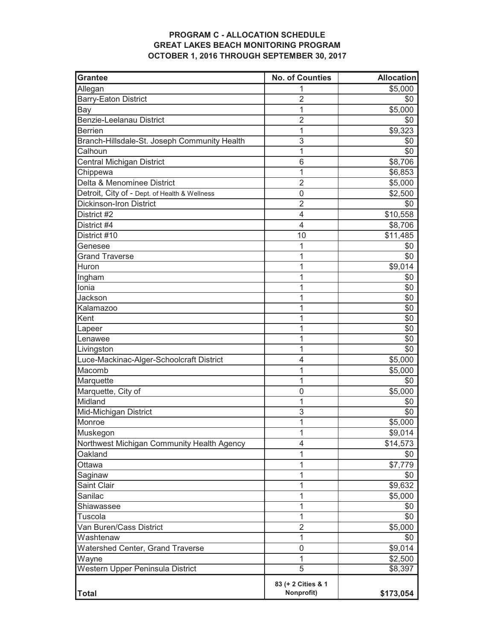# **PROGRAM C - ALLOCATION SCHEDULE GREAT LAKES BEACH MONITORING PROGRAM OCTOBER 1, 2016 THROUGH SEPTEMBER 30, 2017**

| <b>Grantee</b>                                | <b>No. of Counties</b> | <b>Allocation</b> |
|-----------------------------------------------|------------------------|-------------------|
| Allegan                                       |                        | \$5,000           |
| <b>Barry-Eaton District</b>                   | $\overline{2}$         | \$0               |
| Bay                                           | 1                      | \$5,000           |
| Benzie-Leelanau District                      | $\overline{2}$         | \$0               |
| <b>Berrien</b>                                | 1                      | \$9,323           |
| Branch-Hillsdale-St. Joseph Community Health  | 3                      | \$0               |
| Calhoun                                       | 1                      | \$0               |
| Central Michigan District                     | 6                      | \$8,706           |
| Chippewa                                      | 1                      | \$6,853           |
| Delta & Menominee District                    | $\overline{2}$         | \$5,000           |
| Detroit, City of - Dept. of Health & Wellness | 0                      | \$2,500           |
| <b>Dickinson-Iron District</b>                | $\overline{2}$         | \$0               |
| District #2                                   | 4                      | \$10,558          |
| District #4                                   | $\overline{4}$         | \$8,706           |
| District #10                                  | 10                     | \$11,485          |
| Genesee                                       | 1                      | \$0               |
| <b>Grand Traverse</b>                         | 1                      | \$0               |
| Huron                                         | 1                      | \$9,014           |
| Ingham                                        | 1                      | \$0               |
| Ionia                                         | 1                      | \$0               |
| Jackson                                       | 1                      | \$0               |
| Kalamazoo                                     | 1                      | \$0               |
| Kent                                          | 1                      | \$0               |
| Lapeer                                        | 1                      | \$0               |
| Lenawee                                       | 1                      | \$0               |
| Livingston                                    | 1                      | \$0               |
| Luce-Mackinac-Alger-Schoolcraft District      | 4                      | \$5,000           |
| Macomb                                        | 1                      | \$5,000           |
| Marquette                                     | 1                      | \$0               |
| Marquette, City of                            | 0                      | \$5,000           |
| Midland                                       | 1                      | \$0               |
| Mid-Michigan District                         | 3                      | \$0               |
| Monroe                                        | 1                      | \$5,000           |
| Muskegon                                      | 1                      | \$9,014           |
| Northwest Michigan Community Health Agency    | 4                      | \$14,573          |
| Oakland                                       | 1                      | \$0               |
| Ottawa                                        | 1                      | \$7,779           |
| Saginaw                                       | 1                      | \$0               |
| Saint Clair                                   | 1                      | \$9,632           |
| Sanilac                                       | 1                      | \$5,000           |
| Shiawassee                                    | 1                      | \$0               |
| Tuscola                                       | 1                      | \$0               |
| Van Buren/Cass District                       | $\overline{2}$         | \$5,000           |
| Washtenaw                                     | 1                      | \$0               |
| Watershed Center, Grand Traverse              | 0                      | \$9,014           |
| Wayne                                         | 1                      | \$2,500           |
| Western Upper Peninsula District              | $\overline{5}$         | \$8,397           |
|                                               | 83 (+ 2 Cities & 1     |                   |
| <b>Total</b>                                  | Nonprofit)             | \$173,054         |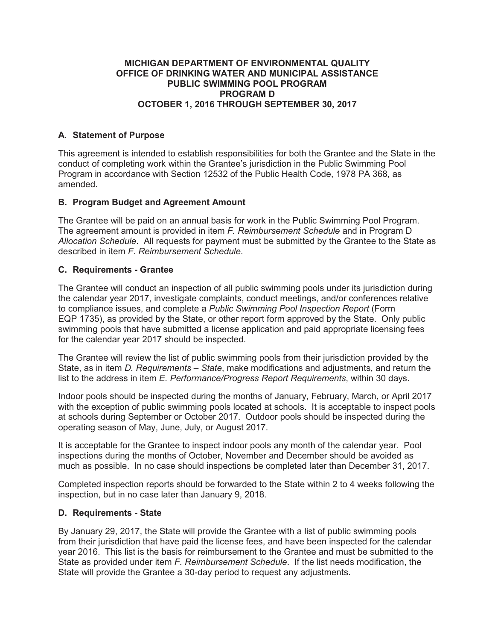#### **MICHIGAN DEPARTMENT OF ENVIRONMENTAL QUALITY OFFICE OF DRINKING WATER AND MUNICIPAL ASSISTANCE PUBLIC SWIMMING POOL PROGRAM PROGRAM D OCTOBER 1, 2016 THROUGH SEPTEMBER 30, 2017**

# **A. Statement of Purpose**

This agreement is intended to establish responsibilities for both the Grantee and the State in the conduct of completing work within the Grantee's jurisdiction in the Public Swimming Pool Program in accordance with Section 12532 of the Public Health Code, 1978 PA 368, as amended.

# **B. Program Budget and Agreement Amount**

The Grantee will be paid on an annual basis for work in the Public Swimming Pool Program. The agreement amount is provided in item *F. Reimbursement Schedule* and in Program D *Allocation Schedule*. All requests for payment must be submitted by the Grantee to the State as described in item *F. Reimbursement Schedule*.

# **C. Requirements - Grantee**

The Grantee will conduct an inspection of all public swimming pools under its jurisdiction during the calendar year 2017, investigate complaints, conduct meetings, and/or conferences relative to compliance issues, and complete a *Public Swimming Pool Inspection Report* (Form EQP 1735), as provided by the State, or other report form approved by the State. Only public swimming pools that have submitted a license application and paid appropriate licensing fees for the calendar year 2017 should be inspected.

The Grantee will review the list of public swimming pools from their jurisdiction provided by the State, as in item *D. Requirements – State*, make modifications and adjustments, and return the list to the address in item *E. Performance/Progress Report Requirements*, within 30 days.

Indoor pools should be inspected during the months of January, February, March, or April 2017 with the exception of public swimming pools located at schools. It is acceptable to inspect pools at schools during September or October 2017. Outdoor pools should be inspected during the operating season of May, June, July, or August 2017.

It is acceptable for the Grantee to inspect indoor pools any month of the calendar year. Pool inspections during the months of October, November and December should be avoided as much as possible. In no case should inspections be completed later than December 31, 2017.

Completed inspection reports should be forwarded to the State within 2 to 4 weeks following the inspection, but in no case later than January 9, 2018.

# **D. Requirements - State**

By January 29, 2017, the State will provide the Grantee with a list of public swimming pools from their jurisdiction that have paid the license fees, and have been inspected for the calendar year 2016. This list is the basis for reimbursement to the Grantee and must be submitted to the State as provided under item *F. Reimbursement Schedule*. If the list needs modification, the State will provide the Grantee a 30-day period to request any adjustments.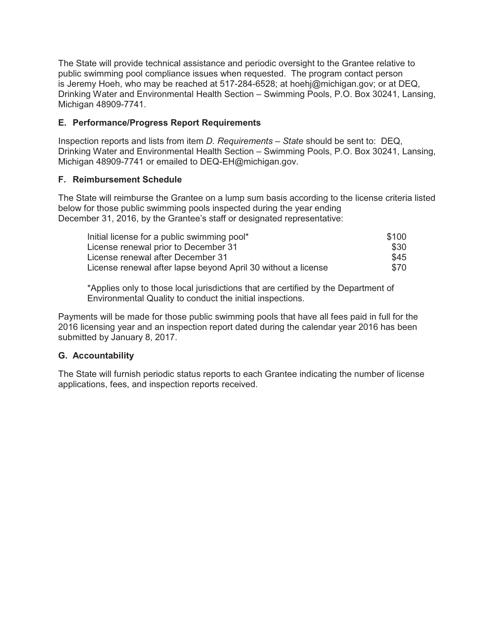The State will provide technical assistance and periodic oversight to the Grantee relative to public swimming pool compliance issues when requested. The program contact person is Jeremy Hoeh, who may be reached at 517-284-6528; at hoehj@michigan.gov; or at DEQ, Drinking Water and Environmental Health Section – Swimming Pools, P.O. Box 30241, Lansing, Michigan 48909-7741.

# **E. Performance/Progress Report Requirements**

Inspection reports and lists from item *D. Requirements – State* should be sent to: DEQ, Drinking Water and Environmental Health Section – Swimming Pools, P.O. Box 30241, Lansing, Michigan 48909-7741 or emailed to DEQ-EH@michigan.gov.

# **F. Reimbursement Schedule**

The State will reimburse the Grantee on a lump sum basis according to the license criteria listed below for those public swimming pools inspected during the year ending December 31, 2016, by the Grantee's staff or designated representative:

| Initial license for a public swimming pool*                   | \$100 |
|---------------------------------------------------------------|-------|
| License renewal prior to December 31                          | \$30  |
| License renewal after December 31                             | \$45  |
| License renewal after lapse beyond April 30 without a license | \$70  |

\*Applies only to those local jurisdictions that are certified by the Department of Environmental Quality to conduct the initial inspections.

Payments will be made for those public swimming pools that have all fees paid in full for the 2016 licensing year and an inspection report dated during the calendar year 2016 has been submitted by January 8, 2017.

# **G. Accountability**

The State will furnish periodic status reports to each Grantee indicating the number of license applications, fees, and inspection reports received.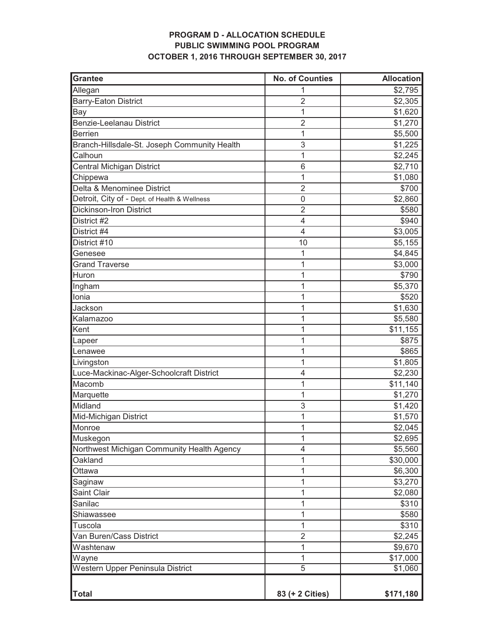# **PROGRAM D - ALLOCATION SCHEDULE PUBLIC SWIMMING POOL PROGRAM OCTOBER 1, 2016 THROUGH SEPTEMBER 30, 2017**

| <b>Grantee</b>                                | <b>No. of Counties</b>   | <b>Allocation</b> |
|-----------------------------------------------|--------------------------|-------------------|
| Allegan                                       |                          | \$2,795           |
| <b>Barry-Eaton District</b>                   | $\overline{2}$           | \$2,305           |
| Bay                                           | 1                        | \$1,620           |
| Benzie-Leelanau District                      | $\overline{2}$           | \$1,270           |
| Berrien                                       | 1                        | \$5,500           |
| Branch-Hillsdale-St. Joseph Community Health  | 3                        | \$1,225           |
| Calhoun                                       | 1                        | \$2,245           |
| Central Michigan District                     | 6                        | \$2,710           |
| Chippewa                                      | 1                        | \$1,080           |
| Delta & Menominee District                    | $\overline{2}$           | \$700             |
| Detroit, City of - Dept. of Health & Wellness | 0                        | \$2,860           |
| <b>Dickinson-Iron District</b>                | $\overline{2}$           | \$580             |
| District #2                                   | $\overline{\mathcal{A}}$ | \$940             |
| District #4                                   | $\overline{4}$           | \$3,005           |
| District #10                                  | 10                       | \$5,155           |
| Genesee                                       | 1                        | \$4,845           |
| <b>Grand Traverse</b>                         | 1                        | \$3,000           |
| Huron                                         | 1                        | \$790             |
| Ingham                                        | 1                        | \$5,370           |
| lonia                                         | 1                        | \$520             |
| Jackson                                       | 1                        | \$1,630           |
| Kalamazoo                                     | 1                        | \$5,580           |
| Kent                                          | 1                        | \$11,155          |
| Lapeer                                        | 1                        | \$875             |
| Lenawee                                       | 1                        | \$865             |
| Livingston                                    | 1                        | \$1,805           |
| Luce-Mackinac-Alger-Schoolcraft District      | 4                        | \$2,230           |
| Macomb                                        | 1                        | \$11,140          |
| Marquette                                     | 1                        | \$1,270           |
| Midland                                       | 3                        | \$1,420           |
| Mid-Michigan District                         | 1                        | \$1,570           |
| Monroe                                        | 1                        | \$2,045           |
| Muskegon                                      | 1                        | \$2,695           |
| Northwest Michigan Community Health Agency    | 4                        | \$5,560           |
| Oakland                                       | 1                        | \$30,000          |
| Ottawa                                        | 1                        | \$6,300           |
| Saginaw                                       | 1                        | \$3,270           |
| Saint Clair                                   | 1                        | \$2,080           |
| Sanilac                                       | 1                        | \$310             |
| Shiawassee                                    | 1                        | \$580             |
| Tuscola                                       | 1                        | \$310             |
| Van Buren/Cass District                       | $\overline{2}$           | \$2,245           |
| Washtenaw                                     | 1                        | \$9,670           |
| Wayne                                         | 1                        | \$17,000          |
| Western Upper Peninsula District              | 5                        | \$1,060           |
|                                               |                          |                   |
| Total                                         | 83 (+ 2 Cities)          | \$171,180         |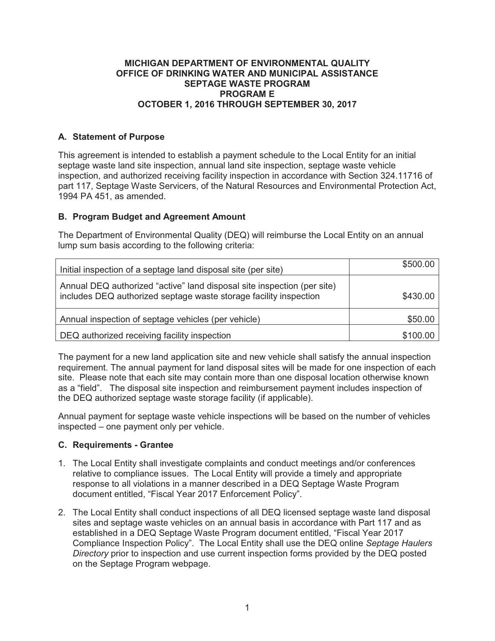#### **MICHIGAN DEPARTMENT OF ENVIRONMENTAL QUALITY OFFICE OF DRINKING WATER AND MUNICIPAL ASSISTANCE SEPTAGE WASTE PROGRAM PROGRAM E OCTOBER 1, 2016 THROUGH SEPTEMBER 30, 2017**

# **A. Statement of Purpose**

This agreement is intended to establish a payment schedule to the Local Entity for an initial septage waste land site inspection, annual land site inspection, septage waste vehicle inspection, and authorized receiving facility inspection in accordance with Section 324.11716 of part 117, Septage Waste Servicers, of the Natural Resources and Environmental Protection Act, 1994 PA 451, as amended.

# **B. Program Budget and Agreement Amount**

The Department of Environmental Quality (DEQ) will reimburse the Local Entity on an annual lump sum basis according to the following criteria:

| Initial inspection of a septage land disposal site (per site)                                                                                | \$500.00 |
|----------------------------------------------------------------------------------------------------------------------------------------------|----------|
| Annual DEQ authorized "active" land disposal site inspection (per site)<br>includes DEQ authorized septage waste storage facility inspection | \$430.00 |
| Annual inspection of septage vehicles (per vehicle)                                                                                          | \$50.00  |
| DEQ authorized receiving facility inspection                                                                                                 | \$100.00 |

The payment for a new land application site and new vehicle shall satisfy the annual inspection requirement. The annual payment for land disposal sites will be made for one inspection of each site. Please note that each site may contain more than one disposal location otherwise known as a "field". The disposal site inspection and reimbursement payment includes inspection of the DEQ authorized septage waste storage facility (if applicable).

Annual payment for septage waste vehicle inspections will be based on the number of vehicles inspected – one payment only per vehicle.

# **C. Requirements - Grantee**

- 1. The Local Entity shall investigate complaints and conduct meetings and/or conferences relative to compliance issues. The Local Entity will provide a timely and appropriate response to all violations in a manner described in a DEQ Septage Waste Program document entitled, "Fiscal Year 2017 Enforcement Policy".
- 2. The Local Entity shall conduct inspections of all DEQ licensed septage waste land disposal sites and septage waste vehicles on an annual basis in accordance with Part 117 and as established in a DEQ Septage Waste Program document entitled, "Fiscal Year 2017 Compliance Inspection Policy". The Local Entity shall use the DEQ online *Septage Haulers Directory* prior to inspection and use current inspection forms provided by the DEQ posted on the Septage Program webpage.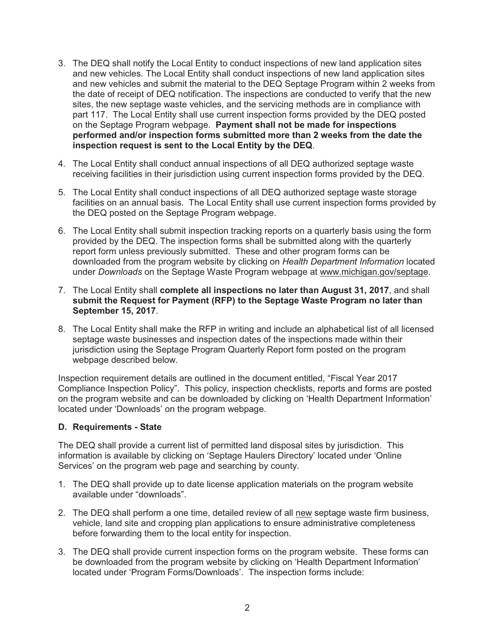- 3. The DEQ shall notify the Local Entity to conduct inspections of new land application sites and new vehicles. The Local Entity shall conduct inspections of new land application sites and new vehicles and submit the material to the DEQ Septage Program within 2 weeks from the date of receipt of DEQ notification. The inspections are conducted to verify that the new sites, the new septage waste vehicles, and the servicing methods are in compliance with part 117. The Local Entity shall use current inspection forms provided by the DEQ posted on the Septage Program webpage. **Payment shall not be made for inspections performed and/or inspection forms submitted more than 2 weeks from the date the inspection request is sent to the Local Entity by the DEQ**.
- 4. The Local Entity shall conduct annual inspections of all DEQ authorized septage waste receiving facilities in their jurisdiction using current inspection forms provided by the DEQ.
- 5. The Local Entity shall conduct inspections of all DEQ authorized septage waste storage facilities on an annual basis. The Local Entity shall use current inspection forms provided by the DEQ posted on the Septage Program webpage.
- 6. The Local Entity shall submit inspection tracking reports on a quarterly basis using the form provided by the DEQ. The inspection forms shall be submitted along with the quarterly report form unless previously submitted. These and other program forms can be downloaded from the program website by clicking on *Health Department Information* located under *Downloads* on the Septage Waste Program webpage at www.michigan.gov/septage.
- 7. The Local Entity shall **complete all inspections no later than August 31, 2017**, and shall **submit the Request for Payment (RFP) to the Septage Waste Program no later than September 15, 2017**.
- 8. The Local Entity shall make the RFP in writing and include an alphabetical list of all licensed septage waste businesses and inspection dates of the inspections made within their jurisdiction using the Septage Program Quarterly Report form posted on the program webpage described below.

Inspection requirement details are outlined in the document entitled, "Fiscal Year 2017 Compliance Inspection Policy". This policy, inspection checklists, reports and forms are posted on the program website and can be downloaded by clicking on 'Health Department Information' located under 'Downloads' on the program webpage.

# **D. Requirements - State**

The DEQ shall provide a current list of permitted land disposal sites by jurisdiction. This information is available by clicking on 'Septage Haulers Directory' located under 'Online Services' on the program web page and searching by county.

- 1. The DEQ shall provide up to date license application materials on the program website available under "downloads".
- 2. The DEQ shall perform a one time, detailed review of all new septage waste firm business, vehicle, land site and cropping plan applications to ensure administrative completeness before forwarding them to the local entity for inspection.
- 3. The DEQ shall provide current inspection forms on the program website. These forms can be downloaded from the program website by clicking on 'Health Department Information' located under 'Program Forms/Downloads'. The inspection forms include: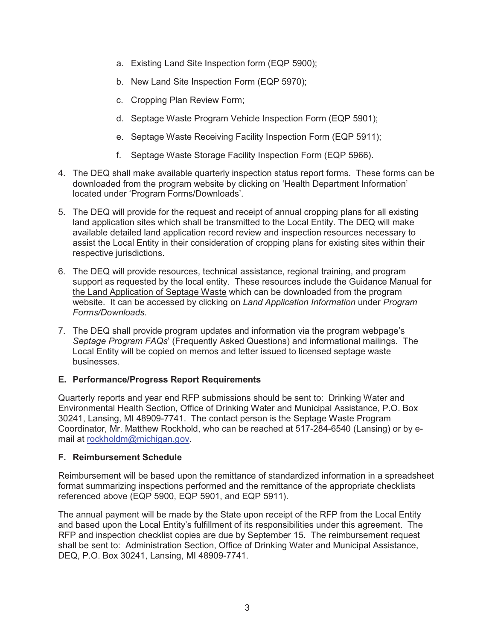- a. Existing Land Site Inspection form (EQP 5900);
- b. New Land Site Inspection Form (EQP 5970);
- c. Cropping Plan Review Form;
- d. Septage Waste Program Vehicle Inspection Form (EQP 5901);
- e. Septage Waste Receiving Facility Inspection Form (EQP 5911);
- f. Septage Waste Storage Facility Inspection Form (EQP 5966).
- 4. The DEQ shall make available quarterly inspection status report forms. These forms can be downloaded from the program website by clicking on 'Health Department Information' located under 'Program Forms/Downloads'.
- 5. The DEQ will provide for the request and receipt of annual cropping plans for all existing land application sites which shall be transmitted to the Local Entity. The DEQ will make available detailed land application record review and inspection resources necessary to assist the Local Entity in their consideration of cropping plans for existing sites within their respective jurisdictions.
- 6. The DEQ will provide resources, technical assistance, regional training, and program support as requested by the local entity. These resources include the Guidance Manual for the Land Application of Septage Waste which can be downloaded from the program website. It can be accessed by clicking on *Land Application Information* under *Program Forms/Downloads*.
- 7. The DEQ shall provide program updates and information via the program webpage's *Septage Program FAQs*' (Frequently Asked Questions) and informational mailings. The Local Entity will be copied on memos and letter issued to licensed septage waste businesses.

# **E. Performance/Progress Report Requirements**

Quarterly reports and year end RFP submissions should be sent to: Drinking Water and Environmental Health Section, Office of Drinking Water and Municipal Assistance, P.O. Box 30241, Lansing, MI 48909-7741. The contact person is the Septage Waste Program Coordinator, Mr. Matthew Rockhold, who can be reached at 517-284-6540 (Lansing) or by email at rockholdm@michigan.gov.

# **F. Reimbursement Schedule**

Reimbursement will be based upon the remittance of standardized information in a spreadsheet format summarizing inspections performed and the remittance of the appropriate checklists referenced above (EQP 5900, EQP 5901, and EQP 5911).

The annual payment will be made by the State upon receipt of the RFP from the Local Entity and based upon the Local Entity's fulfillment of its responsibilities under this agreement. The RFP and inspection checklist copies are due by September 15. The reimbursement request shall be sent to: Administration Section, Office of Drinking Water and Municipal Assistance, DEQ, P.O. Box 30241, Lansing, MI 48909-7741.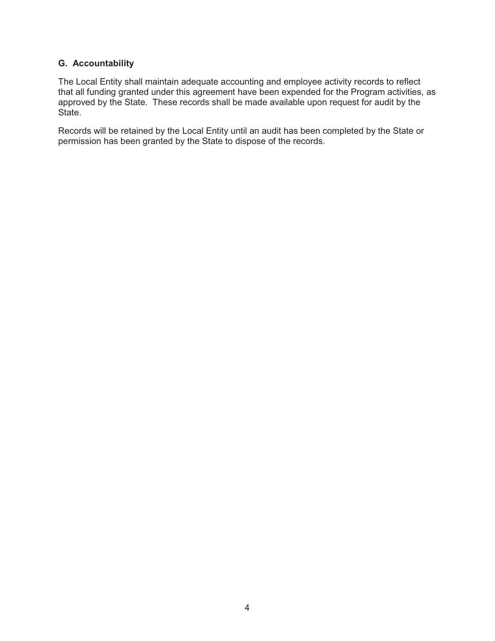# **G. Accountability**

The Local Entity shall maintain adequate accounting and employee activity records to reflect that all funding granted under this agreement have been expended for the Program activities, as approved by the State. These records shall be made available upon request for audit by the State.

Records will be retained by the Local Entity until an audit has been completed by the State or permission has been granted by the State to dispose of the records.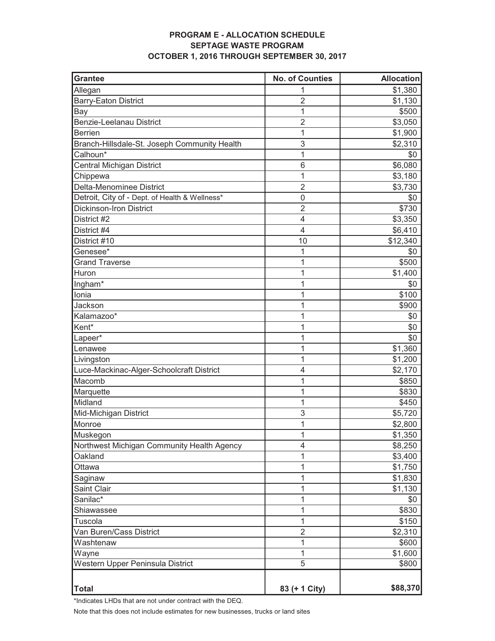#### **PROGRAM E - ALLOCATION SCHEDULE SEPTAGE WASTE PROGRAM OCTOBER 1, 2016 THROUGH SEPTEMBER 30, 2017**

| <b>Grantee</b>                                 | <b>No. of Counties</b> | <b>Allocation</b> |
|------------------------------------------------|------------------------|-------------------|
| Allegan                                        | 1                      | \$1,380           |
| <b>Barry-Eaton District</b>                    | $\overline{2}$         | \$1,130           |
| Bay                                            | 1                      | \$500             |
| <b>Benzie-Leelanau District</b>                | $\overline{2}$         | \$3,050           |
| <b>Berrien</b>                                 | 1                      | \$1,900           |
| Branch-Hillsdale-St. Joseph Community Health   | 3                      | \$2,310           |
| Calhoun*                                       | 1                      | \$0               |
| Central Michigan District                      | 6                      | \$6,080           |
| Chippewa                                       | 1                      | \$3,180           |
| Delta-Menominee District                       | $\overline{2}$         | \$3,730           |
| Detroit, City of - Dept. of Health & Wellness* | 0                      | \$0               |
| <b>Dickinson-Iron District</b>                 | $\overline{2}$         | \$730             |
| District #2                                    | $\overline{4}$         | \$3,350           |
| District #4                                    | 4                      | \$6,410           |
| District #10                                   | 10                     | \$12,340          |
| Genesee*                                       | 1                      | \$0               |
| <b>Grand Traverse</b>                          | 1                      | \$500             |
| Huron                                          | 1                      | \$1,400           |
| Ingham*                                        | 1                      | \$0               |
| Ionia                                          | 1                      | \$100             |
| Jackson                                        | 1                      | \$900             |
| Kalamazoo*                                     | 1                      | \$0               |
| Kent*                                          | 1                      | \$0               |
| Lapeer*                                        | 1                      | \$0               |
| Lenawee                                        | 1                      | \$1,360           |
| Livingston                                     | 1                      | \$1,200           |
| Luce-Mackinac-Alger-Schoolcraft District       | 4                      | \$2,170           |
| Macomb                                         | 1                      | \$850             |
| Marquette                                      | 1                      | \$830             |
| Midland                                        | 1                      | \$450             |
| Mid-Michigan District                          | 3                      | \$5,720           |
| Monroe                                         | 1                      | \$2,800           |
| Muskegon                                       | 1                      | \$1,350           |
| Northwest Michigan Community Health Agency     | 4                      | \$8,250           |
| Oakland                                        | 1                      | \$3,400           |
| Ottawa                                         | 1                      | \$1,750           |
| Saginaw                                        | 1                      | \$1,830           |
| Saint Clair                                    | 1                      | \$1,130           |
| Sanilac*                                       | 1                      | \$0               |
| Shiawassee                                     | 1                      | \$830             |
| Tuscola                                        | 1                      | \$150             |
| Van Buren/Cass District                        | $\overline{2}$         | \$2,310           |
| Washtenaw                                      | 1                      | \$600             |
| Wayne                                          | 1                      | \$1,600           |
| Western Upper Peninsula District               | $\overline{5}$         | \$800             |
|                                                |                        |                   |
| <b>Total</b>                                   | 83 (+ 1 City)          | \$88,370          |

\*Indicates LHDs that are not under contract with the DEQ.

Note that this does not include estimates for new businesses, trucks or land sites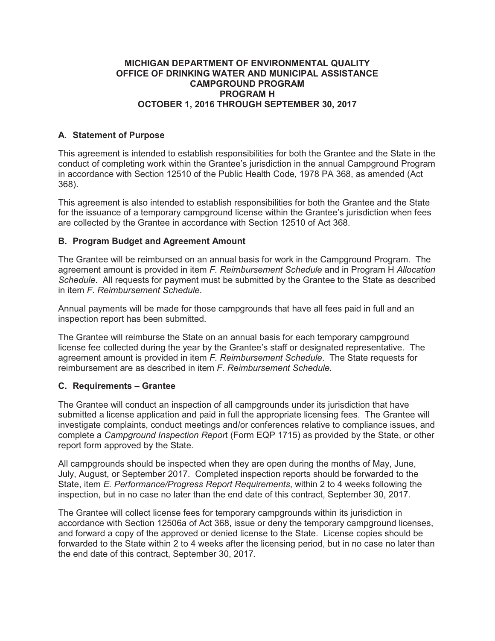#### **MICHIGAN DEPARTMENT OF ENVIRONMENTAL QUALITY OFFICE OF DRINKING WATER AND MUNICIPAL ASSISTANCE CAMPGROUND PROGRAM PROGRAM H OCTOBER 1, 2016 THROUGH SEPTEMBER 30, 2017**

# **A. Statement of Purpose**

This agreement is intended to establish responsibilities for both the Grantee and the State in the conduct of completing work within the Grantee's jurisdiction in the annual Campground Program in accordance with Section 12510 of the Public Health Code, 1978 PA 368, as amended (Act 368).

This agreement is also intended to establish responsibilities for both the Grantee and the State for the issuance of a temporary campground license within the Grantee's jurisdiction when fees are collected by the Grantee in accordance with Section 12510 of Act 368.

# **B. Program Budget and Agreement Amount**

The Grantee will be reimbursed on an annual basis for work in the Campground Program. The agreement amount is provided in item *F. Reimbursement Schedule* and in Program H *Allocation Schedule*. All requests for payment must be submitted by the Grantee to the State as described in item *F. Reimbursement Schedule*.

Annual payments will be made for those campgrounds that have all fees paid in full and an inspection report has been submitted.

The Grantee will reimburse the State on an annual basis for each temporary campground license fee collected during the year by the Grantee's staff or designated representative. The agreement amount is provided in item *F. Reimbursement Schedule*. The State requests for reimbursement are as described in item *F. Reimbursement Schedule*.

# **C. Requirements – Grantee**

The Grantee will conduct an inspection of all campgrounds under its jurisdiction that have submitted a license application and paid in full the appropriate licensing fees. The Grantee will investigate complaints, conduct meetings and/or conferences relative to compliance issues, and complete a *Campground Inspection Repor*t (Form EQP 1715) as provided by the State, or other report form approved by the State.

All campgrounds should be inspected when they are open during the months of May, June, July, August, or September 2017. Completed inspection reports should be forwarded to the State, item *E. Performance/Progress Report Requirements*, within 2 to 4 weeks following the inspection, but in no case no later than the end date of this contract, September 30, 2017.

The Grantee will collect license fees for temporary campgrounds within its jurisdiction in accordance with Section 12506a of Act 368, issue or deny the temporary campground licenses, and forward a copy of the approved or denied license to the State. License copies should be forwarded to the State within 2 to 4 weeks after the licensing period, but in no case no later than the end date of this contract, September 30, 2017.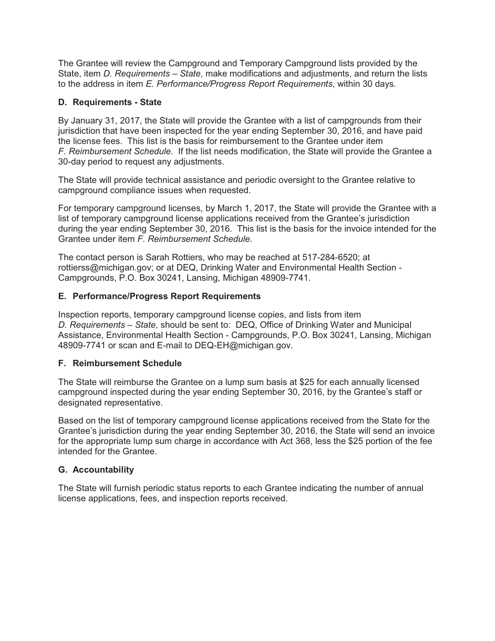The Grantee will review the Campground and Temporary Campground lists provided by the State, item *D. Requirements – State*, make modifications and adjustments, and return the lists to the address in item *E. Performance/Progress Report Requirements*, within 30 days.

# **D. Requirements - State**

By January 31, 2017, the State will provide the Grantee with a list of campgrounds from their jurisdiction that have been inspected for the year ending September 30, 2016, and have paid the license fees. This list is the basis for reimbursement to the Grantee under item *F. Reimbursement Schedule*. If the list needs modification, the State will provide the Grantee a 30-day period to request any adjustments.

The State will provide technical assistance and periodic oversight to the Grantee relative to campground compliance issues when requested.

For temporary campground licenses, by March 1, 2017, the State will provide the Grantee with a list of temporary campground license applications received from the Grantee's jurisdiction during the year ending September 30, 2016. This list is the basis for the invoice intended for the Grantee under item *F. Reimbursement Schedule*.

The contact person is Sarah Rottiers, who may be reached at 517-284-6520; at rottierss@michigan.gov; or at DEQ, Drinking Water and Environmental Health Section - Campgrounds, P.O. Box 30241, Lansing, Michigan 48909-7741.

# **E. Performance/Progress Report Requirements**

Inspection reports, temporary campground license copies, and lists from item *D. Requirements – State*, should be sent to: DEQ, Office of Drinking Water and Municipal Assistance, Environmental Health Section - Campgrounds, P.O. Box 30241, Lansing, Michigan 48909-7741 or scan and E-mail to DEQ-EH@michigan.gov.

# **F. Reimbursement Schedule**

The State will reimburse the Grantee on a lump sum basis at \$25 for each annually licensed campground inspected during the year ending September 30, 2016, by the Grantee's staff or designated representative.

Based on the list of temporary campground license applications received from the State for the Grantee's jurisdiction during the year ending September 30, 2016, the State will send an invoice for the appropriate lump sum charge in accordance with Act 368, less the \$25 portion of the fee intended for the Grantee.

# **G. Accountability**

The State will furnish periodic status reports to each Grantee indicating the number of annual license applications, fees, and inspection reports received.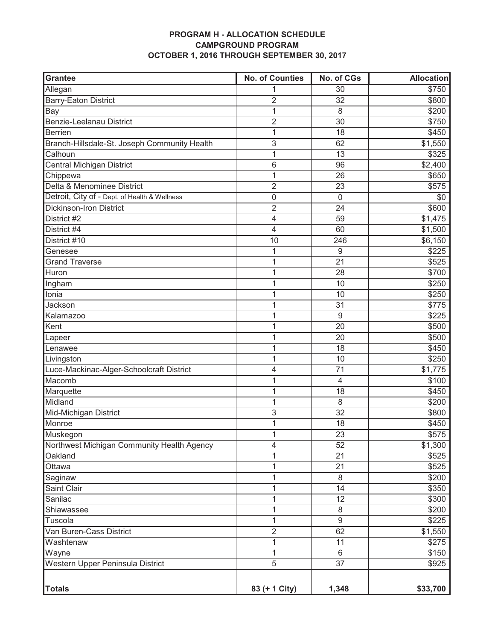# **PROGRAM H - ALLOCATION SCHEDULE CAMPGROUND PROGRAM OCTOBER 1, 2016 THROUGH SEPTEMBER 30, 2017**

| Grantee                                       | <b>No. of Counties</b> | No. of CGs      | <b>Allocation</b> |
|-----------------------------------------------|------------------------|-----------------|-------------------|
| Allegan                                       | 1                      | 30              | \$750             |
| <b>Barry-Eaton District</b>                   | 2                      | 32              | \$800             |
| Bay                                           | $\mathbf 1$            | 8               | \$200             |
| <b>Benzie-Leelanau District</b>               | $\overline{2}$         | 30              | \$750             |
| Berrien                                       | 1                      | 18              | \$450             |
| Branch-Hillsdale-St. Joseph Community Health  | $\mathfrak{S}$         | 62              | \$1,550           |
| Calhoun                                       | $\mathbf{1}$           | 13              | \$325             |
| Central Michigan District                     | $\,6$                  | 96              | \$2,400           |
| Chippewa                                      | 1                      | 26              | \$650             |
| Delta & Menominee District                    | $\overline{2}$         | 23              | \$575             |
| Detroit, City of - Dept. of Health & Wellness | $\boldsymbol{0}$       | $\mathbf 0$     | \$0               |
| <b>Dickinson-Iron District</b>                | $\overline{2}$         | 24              | \$600             |
| District #2                                   | $\overline{4}$         | 59              | \$1,475           |
| District #4                                   | 4                      | 60              | \$1,500           |
| District #10                                  | 10                     | 246             | \$6,150           |
| Genesee                                       | $\mathbf{1}$           | 9               | \$225             |
| <b>Grand Traverse</b>                         | 1                      | 21              | \$525             |
| Huron                                         | 1                      | 28              | \$700             |
| Ingham                                        | 1                      | 10              | \$250             |
| Ionia                                         | 1                      | 10              | \$250             |
| Jackson                                       | 1                      | 31              | \$775             |
| Kalamazoo                                     | 1                      | $9\,$           | \$225             |
| Kent                                          | 1                      | 20              | \$500             |
| Lapeer                                        | 1                      | 20              | \$500             |
| Lenawee                                       | 1                      | 18              | \$450             |
| Livingston                                    | 1                      | 10              | \$250             |
| Luce-Mackinac-Alger-Schoolcraft District      | 4                      | 71              | \$1,775           |
| Macomb                                        | 1                      | $\overline{4}$  | \$100             |
| Marquette                                     | 1                      | 18              | \$450             |
| Midland                                       | 1                      | 8               | \$200             |
| Mid-Michigan District                         | $\mathsf 3$            | 32              | \$800             |
| Monroe                                        | 1                      | 18              | \$450             |
| Muskegon                                      | 1                      | 23              | \$575             |
| Northwest Michigan Community Health Agency    | 4                      | 52              | \$1,300           |
| Oakland                                       | 1                      | 21              | \$525             |
| Ottawa                                        | 1                      | 21              | \$525             |
| Saginaw                                       | $\mathbf 1$            | 8               | \$200             |
| Saint Clair                                   | 1                      | 14              | \$350             |
| Sanilac                                       | $\mathbf 1$            | 12              | \$300             |
| Shiawassee                                    | 1                      | 8               | \$200             |
| Tuscola                                       | 1                      | $9\,$           | \$225             |
| Van Buren-Cass District                       | $\overline{2}$         | 62              | \$1,550           |
| Washtenaw                                     | 1                      | 11              | \$275             |
| Wayne                                         | $\mathbf 1$            | 6               | \$150             |
| Western Upper Peninsula District              | $\overline{5}$         | $\overline{37}$ | \$925             |
|                                               |                        |                 |                   |
| <b>Totals</b>                                 | 83 (+ 1 City)          | 1,348           | \$33,700          |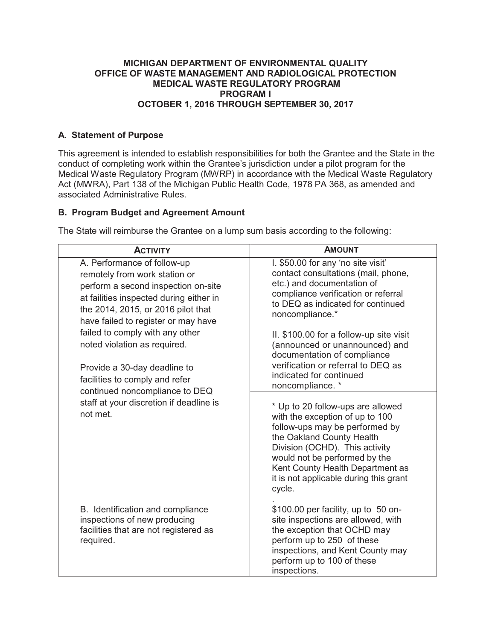# **MICHIGAN DEPARTMENT OF ENVIRONMENTAL QUALITY OFFICE OF WASTE MANAGEMENT AND RADIOLOGICAL PROTECTION MEDICAL WASTE REGULATORY PROGRAM PROGRAM I OCTOBER 1, 2016 THROUGH SEPTEMBER 30, 2017**

# **A. Statement of Purpose**

This agreement is intended to establish responsibilities for both the Grantee and the State in the conduct of completing work within the Grantee's jurisdiction under a pilot program for the Medical Waste Regulatory Program (MWRP) in accordance with the Medical Waste Regulatory Act (MWRA), Part 138 of the Michigan Public Health Code, 1978 PA 368, as amended and associated Administrative Rules.

# **B. Program Budget and Agreement Amount**

| <b>ACTIVITY</b>                                                                                                                                                                                                                                                                                                                                                                                                                                           | <b>AMOUNT</b>                                                                                                                                                                                                                                                                                                                                                                                                                                                                                                                                                                                                                                                                                             |
|-----------------------------------------------------------------------------------------------------------------------------------------------------------------------------------------------------------------------------------------------------------------------------------------------------------------------------------------------------------------------------------------------------------------------------------------------------------|-----------------------------------------------------------------------------------------------------------------------------------------------------------------------------------------------------------------------------------------------------------------------------------------------------------------------------------------------------------------------------------------------------------------------------------------------------------------------------------------------------------------------------------------------------------------------------------------------------------------------------------------------------------------------------------------------------------|
| A. Performance of follow-up<br>remotely from work station or<br>perform a second inspection on-site<br>at failities inspected during either in<br>the 2014, 2015, or 2016 pilot that<br>have failed to register or may have<br>failed to comply with any other<br>noted violation as required.<br>Provide a 30-day deadline to<br>facilities to comply and refer<br>continued noncompliance to DEQ<br>staff at your discretion if deadline is<br>not met. | I. \$50.00 for any 'no site visit'<br>contact consultations (mail, phone,<br>etc.) and documentation of<br>compliance verification or referral<br>to DEQ as indicated for continued<br>noncompliance.*<br>II. \$100.00 for a follow-up site visit<br>(announced or unannounced) and<br>documentation of compliance<br>verification or referral to DEQ as<br>indicated for continued<br>noncompliance. *<br>* Up to 20 follow-ups are allowed<br>with the exception of up to 100<br>follow-ups may be performed by<br>the Oakland County Health<br>Division (OCHD). This activity<br>would not be performed by the<br>Kent County Health Department as<br>it is not applicable during this grant<br>cycle. |
| B. Identification and compliance<br>inspections of new producing<br>facilities that are not registered as<br>required.                                                                                                                                                                                                                                                                                                                                    | \$100.00 per facility, up to 50 on-<br>site inspections are allowed, with<br>the exception that OCHD may<br>perform up to 250 of these<br>inspections, and Kent County may<br>perform up to 100 of these<br>inspections.                                                                                                                                                                                                                                                                                                                                                                                                                                                                                  |

The State will reimburse the Grantee on a lump sum basis according to the following: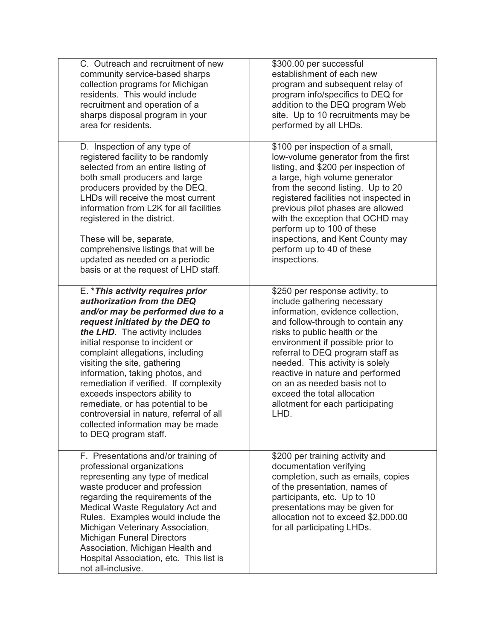| C. Outreach and recruitment of new                                                                                                                                                                                                                                                                                                                                                                                                                                                                                                           | \$300.00 per successful                                                                                                                                                                                                                                                                                                                                                                                                             |
|----------------------------------------------------------------------------------------------------------------------------------------------------------------------------------------------------------------------------------------------------------------------------------------------------------------------------------------------------------------------------------------------------------------------------------------------------------------------------------------------------------------------------------------------|-------------------------------------------------------------------------------------------------------------------------------------------------------------------------------------------------------------------------------------------------------------------------------------------------------------------------------------------------------------------------------------------------------------------------------------|
| community service-based sharps                                                                                                                                                                                                                                                                                                                                                                                                                                                                                                               | establishment of each new                                                                                                                                                                                                                                                                                                                                                                                                           |
| collection programs for Michigan                                                                                                                                                                                                                                                                                                                                                                                                                                                                                                             | program and subsequent relay of                                                                                                                                                                                                                                                                                                                                                                                                     |
| residents. This would include                                                                                                                                                                                                                                                                                                                                                                                                                                                                                                                | program info/specifics to DEQ for                                                                                                                                                                                                                                                                                                                                                                                                   |
| recruitment and operation of a                                                                                                                                                                                                                                                                                                                                                                                                                                                                                                               | addition to the DEQ program Web                                                                                                                                                                                                                                                                                                                                                                                                     |
| sharps disposal program in your                                                                                                                                                                                                                                                                                                                                                                                                                                                                                                              | site. Up to 10 recruitments may be                                                                                                                                                                                                                                                                                                                                                                                                  |
| area for residents.                                                                                                                                                                                                                                                                                                                                                                                                                                                                                                                          | performed by all LHDs.                                                                                                                                                                                                                                                                                                                                                                                                              |
| D. Inspection of any type of                                                                                                                                                                                                                                                                                                                                                                                                                                                                                                                 | \$100 per inspection of a small,                                                                                                                                                                                                                                                                                                                                                                                                    |
| registered facility to be randomly                                                                                                                                                                                                                                                                                                                                                                                                                                                                                                           | low-volume generator from the first                                                                                                                                                                                                                                                                                                                                                                                                 |
| selected from an entire listing of                                                                                                                                                                                                                                                                                                                                                                                                                                                                                                           | listing, and \$200 per inspection of                                                                                                                                                                                                                                                                                                                                                                                                |
| both small producers and large                                                                                                                                                                                                                                                                                                                                                                                                                                                                                                               | a large, high volume generator                                                                                                                                                                                                                                                                                                                                                                                                      |
| producers provided by the DEQ.                                                                                                                                                                                                                                                                                                                                                                                                                                                                                                               | from the second listing. Up to 20                                                                                                                                                                                                                                                                                                                                                                                                   |
| LHDs will receive the most current                                                                                                                                                                                                                                                                                                                                                                                                                                                                                                           | registered facilities not inspected in                                                                                                                                                                                                                                                                                                                                                                                              |
| information from L2K for all facilities                                                                                                                                                                                                                                                                                                                                                                                                                                                                                                      | previous pilot phases are allowed                                                                                                                                                                                                                                                                                                                                                                                                   |
| registered in the district.                                                                                                                                                                                                                                                                                                                                                                                                                                                                                                                  | with the exception that OCHD may                                                                                                                                                                                                                                                                                                                                                                                                    |
| These will be, separate,                                                                                                                                                                                                                                                                                                                                                                                                                                                                                                                     | perform up to 100 of these                                                                                                                                                                                                                                                                                                                                                                                                          |
| comprehensive listings that will be                                                                                                                                                                                                                                                                                                                                                                                                                                                                                                          | inspections, and Kent County may                                                                                                                                                                                                                                                                                                                                                                                                    |
| updated as needed on a periodic                                                                                                                                                                                                                                                                                                                                                                                                                                                                                                              | perform up to 40 of these                                                                                                                                                                                                                                                                                                                                                                                                           |
| basis or at the request of LHD staff.                                                                                                                                                                                                                                                                                                                                                                                                                                                                                                        | inspections.                                                                                                                                                                                                                                                                                                                                                                                                                        |
| E. * This activity requires prior<br>authorization from the DEQ<br>and/or may be performed due to a<br>request initiated by the DEQ to<br>the LHD. The activity includes<br>initial response to incident or<br>complaint allegations, including<br>visiting the site, gathering<br>information, taking photos, and<br>remediation if verified. If complexity<br>exceeds inspectors ability to<br>remediate, or has potential to be<br>controversial in nature, referral of all<br>collected information may be made<br>to DEQ program staff. | \$250 per response activity, to<br>include gathering necessary<br>information, evidence collection,<br>and follow-through to contain any<br>risks to public health or the<br>environment if possible prior to<br>referral to DEQ program staff as<br>needed. This activity is solely<br>reactive in nature and performed<br>on an as needed basis not to<br>exceed the total allocation<br>allotment for each participating<br>LHD. |
| F. Presentations and/or training of<br>professional organizations<br>representing any type of medical<br>waste producer and profession<br>regarding the requirements of the<br>Medical Waste Regulatory Act and<br>Rules. Examples would include the<br>Michigan Veterinary Association,<br><b>Michigan Funeral Directors</b><br>Association, Michigan Health and<br>Hospital Association, etc. This list is<br>not all-inclusive.                                                                                                           | \$200 per training activity and<br>documentation verifying<br>completion, such as emails, copies<br>of the presentation, names of<br>participants, etc. Up to 10<br>presentations may be given for<br>allocation not to exceed \$2,000.00<br>for all participating LHDs.                                                                                                                                                            |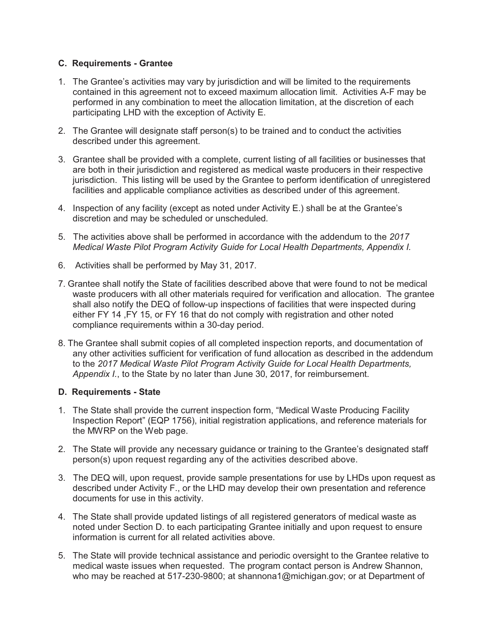# **C. Requirements - Grantee**

- 1. The Grantee's activities may vary by jurisdiction and will be limited to the requirements contained in this agreement not to exceed maximum allocation limit. Activities A-F may be performed in any combination to meet the allocation limitation, at the discretion of each participating LHD with the exception of Activity E.
- 2. The Grantee will designate staff person(s) to be trained and to conduct the activities described under this agreement.
- 3. Grantee shall be provided with a complete, current listing of all facilities or businesses that are both in their jurisdiction and registered as medical waste producers in their respective jurisdiction. This listing will be used by the Grantee to perform identification of unregistered facilities and applicable compliance activities as described under of this agreement.
- 4. Inspection of any facility (except as noted under Activity E.) shall be at the Grantee's discretion and may be scheduled or unscheduled.
- 5. The activities above shall be performed in accordance with the addendum to the *2017 Medical Waste Pilot Program Activity Guide for Local Health Departments, Appendix I.*
- 6. Activities shall be performed by May 31, 2017.
- 7. Grantee shall notify the State of facilities described above that were found to not be medical waste producers with all other materials required for verification and allocation. The grantee shall also notify the DEQ of follow-up inspections of facilities that were inspected during either FY 14 ,FY 15, or FY 16 that do not comply with registration and other noted compliance requirements within a 30-day period.
- 8. The Grantee shall submit copies of all completed inspection reports, and documentation of any other activities sufficient for verification of fund allocation as described in the addendum to the *2017 Medical Waste Pilot Program Activity Guide for Local Health Departments, Appendix I.*, to the State by no later than June 30, 2017, for reimbursement.

# **D. Requirements - State**

- 1. The State shall provide the current inspection form, "Medical Waste Producing Facility Inspection Report" (EQP 1756), initial registration applications, and reference materials for the MWRP on the Web page.
- 2. The State will provide any necessary guidance or training to the Grantee's designated staff person(s) upon request regarding any of the activities described above.
- 3. The DEQ will, upon request, provide sample presentations for use by LHDs upon request as described under Activity F., or the LHD may develop their own presentation and reference documents for use in this activity.
- 4. The State shall provide updated listings of all registered generators of medical waste as noted under Section D. to each participating Grantee initially and upon request to ensure information is current for all related activities above.
- 5. The State will provide technical assistance and periodic oversight to the Grantee relative to medical waste issues when requested. The program contact person is Andrew Shannon, who may be reached at 517-230-9800; at shannona1@michigan.gov; or at Department of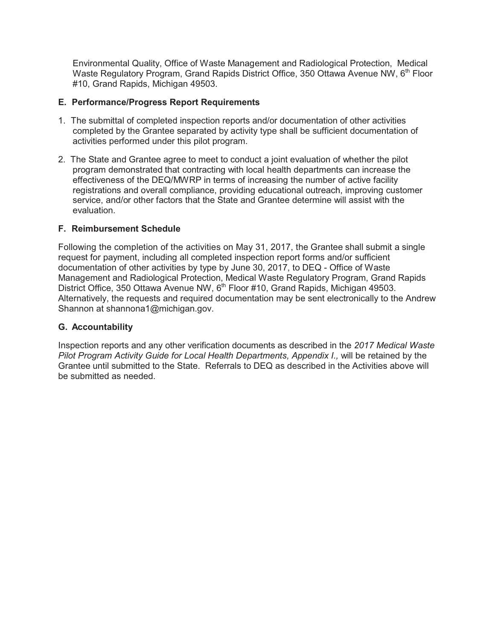Environmental Quality, Office of Waste Management and Radiological Protection, Medical Waste Regulatory Program, Grand Rapids District Office, 350 Ottawa Avenue NW, 6<sup>th</sup> Floor #10, Grand Rapids, Michigan 49503.

# **E. Performance/Progress Report Requirements**

- 1. The submittal of completed inspection reports and/or documentation of other activities completed by the Grantee separated by activity type shall be sufficient documentation of activities performed under this pilot program.
- 2. The State and Grantee agree to meet to conduct a joint evaluation of whether the pilot program demonstrated that contracting with local health departments can increase the effectiveness of the DEQ/MWRP in terms of increasing the number of active facility registrations and overall compliance, providing educational outreach, improving customer service, and/or other factors that the State and Grantee determine will assist with the evaluation.

# **F. Reimbursement Schedule**

Following the completion of the activities on May 31, 2017, the Grantee shall submit a single request for payment, including all completed inspection report forms and/or sufficient documentation of other activities by type by June 30, 2017, to DEQ - Office of Waste Management and Radiological Protection, Medical Waste Regulatory Program, Grand Rapids District Office, 350 Ottawa Avenue NW, 6<sup>th</sup> Floor #10, Grand Rapids, Michigan 49503. Alternatively, the requests and required documentation may be sent electronically to the Andrew Shannon at shannona1@michigan.gov.

# **G. Accountability**

Inspection reports and any other verification documents as described in the *2017 Medical Waste Pilot Program Activity Guide for Local Health Departments, Appendix I., will be retained by the* Grantee until submitted to the State. Referrals to DEQ as described in the Activities above will be submitted as needed.